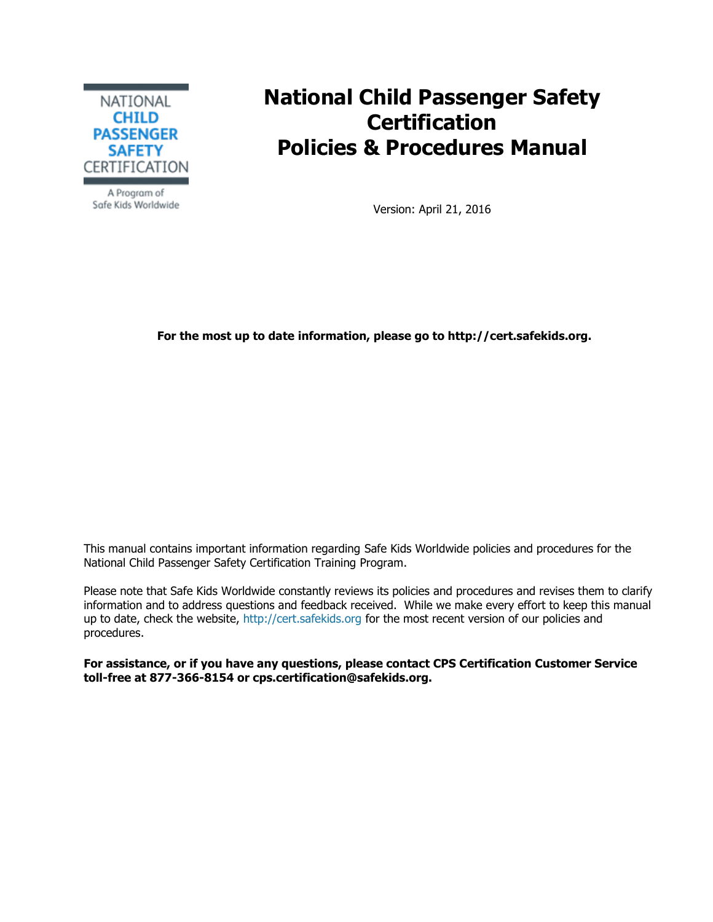

**National Child Passenger Safety Certification Policies & Procedures Manual**

A Program of Safe Kids Worldwide

Version: April 21, 2016

**For the most up to date information, please go to http://cert.safekids.org.**

This manual contains important information regarding Safe Kids Worldwide policies and procedures for the National Child Passenger Safety Certification Training Program.

Please note that Safe Kids Worldwide constantly reviews its policies and procedures and revises them to clarify information and to address questions and feedback received. While we make every effort to keep this manual up to date, check the website, [http://cert.safekids.org](http://cert.safekids.org/) for the most recent version of our policies and procedures.

**For assistance, or if you have any questions, please contact CPS Certification Customer Service toll-free at 877-366-8154 or cps.certification@safekids.org.**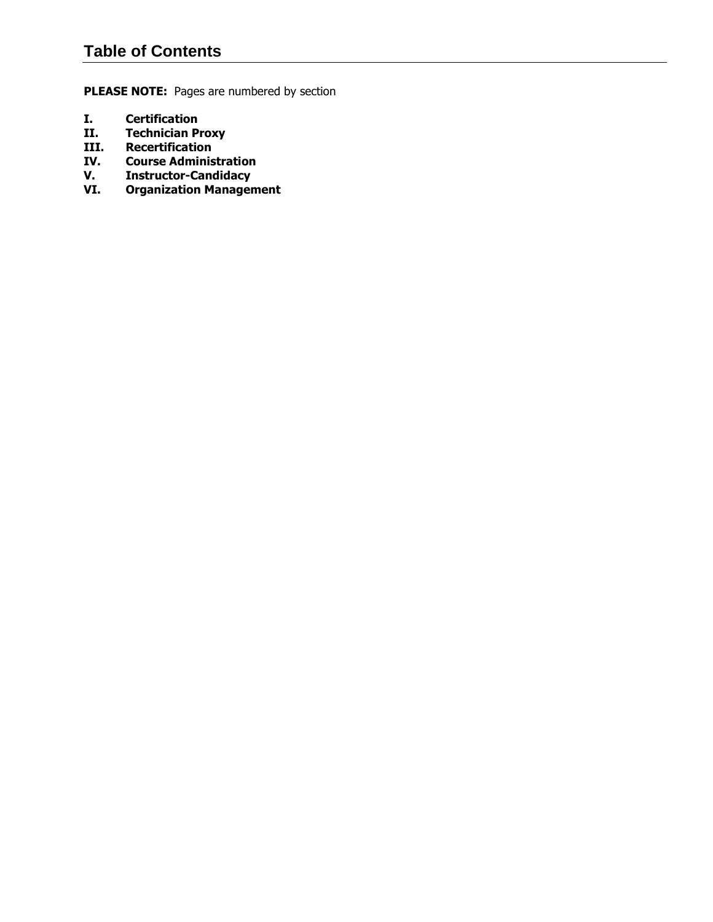# **Table of Contents**

**PLEASE NOTE:** Pages are numbered by section

- <span id="page-1-0"></span>**I. Certification**
- **II. Technician Proxy**
- **III. Recertification**
- **IV. Course Administration**
- **V. Instructor-Candidacy**
- **VI. Organization Management**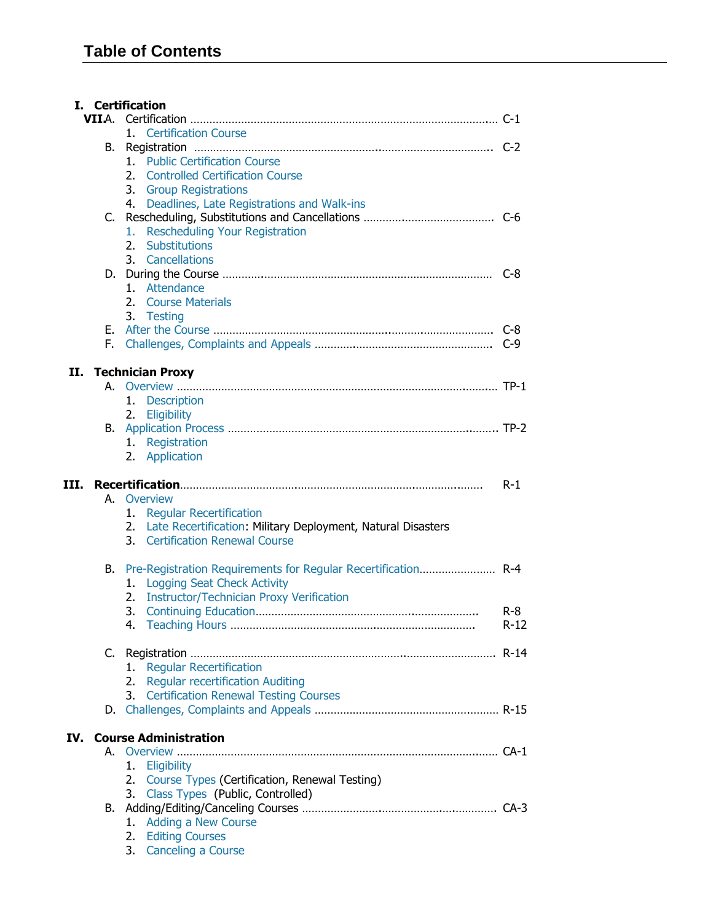|      |    | I. Certification                                                                                   |                   |
|------|----|----------------------------------------------------------------------------------------------------|-------------------|
|      |    |                                                                                                    |                   |
|      |    | 1. Certification Course                                                                            |                   |
|      | В. |                                                                                                    |                   |
|      |    | 1. Public Certification Course                                                                     |                   |
|      |    | 2.<br><b>Controlled Certification Course</b>                                                       |                   |
|      |    | 3. Group Registrations                                                                             |                   |
|      |    | 4. Deadlines, Late Registrations and Walk-ins                                                      |                   |
|      |    |                                                                                                    |                   |
|      |    | <b>Rescheduling Your Registration</b><br>1.                                                        |                   |
|      |    | 2. Substitutions                                                                                   |                   |
|      |    | 3. Cancellations                                                                                   |                   |
|      |    |                                                                                                    |                   |
|      |    | 1. Attendance                                                                                      |                   |
|      |    | 2. Course Materials                                                                                |                   |
|      |    | 3. Testing                                                                                         |                   |
|      |    |                                                                                                    |                   |
|      |    |                                                                                                    |                   |
| II.  |    | <b>Technician Proxy</b>                                                                            |                   |
|      |    |                                                                                                    |                   |
|      |    | 1. Description                                                                                     |                   |
|      |    | 2. Eligibility                                                                                     |                   |
|      |    |                                                                                                    |                   |
|      |    | 1. Registration                                                                                    |                   |
|      |    | 2. Application                                                                                     |                   |
| III. |    |                                                                                                    | $R-1$             |
|      |    | A. Overview                                                                                        |                   |
|      |    | 1. Regular Recertification                                                                         |                   |
|      |    |                                                                                                    |                   |
|      |    |                                                                                                    |                   |
|      |    | 2. Late Recertification: Military Deployment, Natural Disasters<br>3. Certification Renewal Course |                   |
|      |    |                                                                                                    |                   |
|      |    |                                                                                                    |                   |
|      |    | 1. Logging Seat Check Activity                                                                     |                   |
|      |    | 2. Instructor/Technician Proxy Verification                                                        |                   |
|      |    | 3.                                                                                                 | $R - 8$<br>$R-12$ |
|      |    |                                                                                                    |                   |
|      |    |                                                                                                    |                   |
|      |    | <b>Regular Recertification</b><br>1.                                                               |                   |
|      |    | <b>Regular recertification Auditing</b><br>2.                                                      |                   |
|      |    | <b>Certification Renewal Testing Courses</b><br>3.                                                 |                   |
| IV.  |    |                                                                                                    |                   |
|      | А. | <b>Course Administration</b>                                                                       |                   |
|      |    | 1.                                                                                                 |                   |
|      |    | Eligibility                                                                                        |                   |
|      |    | Course Types (Certification, Renewal Testing)<br>2.<br>3.                                          |                   |
|      | В. | Class Types (Public, Controlled)                                                                   |                   |
|      |    | 1.                                                                                                 |                   |
|      |    | Adding a New Course<br><b>Editing Courses</b><br>2.                                                |                   |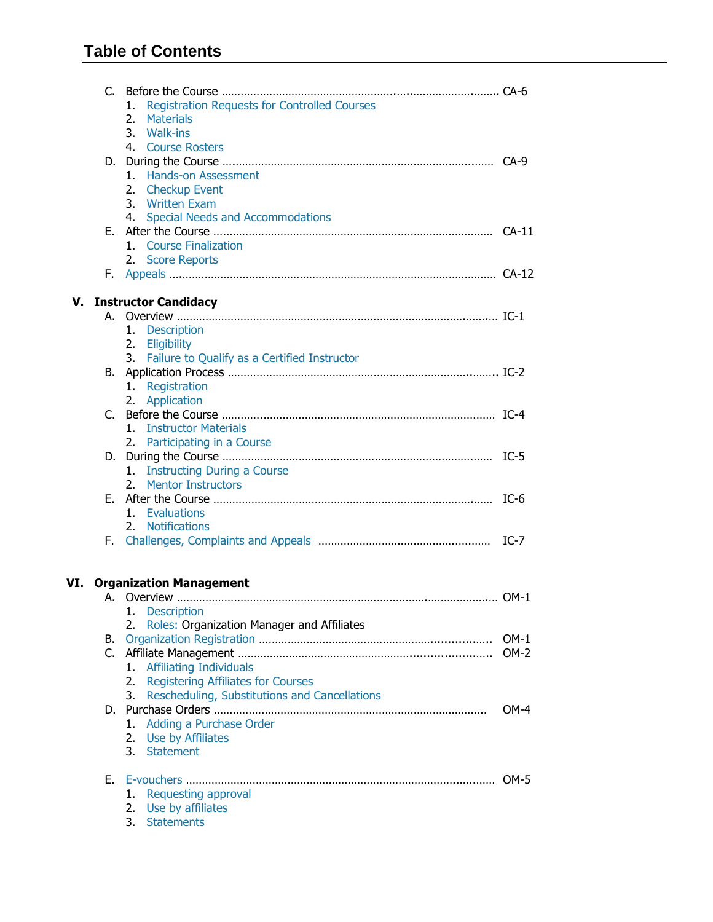# **Table of Contents**

|    |    | <b>Registration Requests for Controlled Courses</b><br>1.<br><b>Materials</b><br>2.<br>3.<br>Walk-ins |        |
|----|----|-------------------------------------------------------------------------------------------------------|--------|
|    |    | 4. Course Rosters<br><b>Hands-on Assessment</b><br>1.<br>2. Checkup Event                             |        |
|    |    | 3. Written Exam<br>4. Special Needs and Accommodations                                                |        |
|    |    | 1. Course Finalization<br>2. Score Reports                                                            |        |
|    |    |                                                                                                       |        |
| v. |    | <b>Instructor Candidacy</b>                                                                           |        |
|    |    |                                                                                                       |        |
|    |    | 1. Description                                                                                        |        |
|    |    | 2. Eligibility                                                                                        |        |
|    |    | 3. Failure to Qualify as a Certified Instructor                                                       |        |
|    |    |                                                                                                       |        |
|    |    | 1. Registration                                                                                       |        |
|    |    | 2. Application                                                                                        |        |
|    |    |                                                                                                       |        |
|    |    | 1. Instructor Materials                                                                               |        |
|    |    | 2. Participating in a Course                                                                          | $IC-5$ |
|    |    |                                                                                                       |        |
|    |    | 1. Instructing During a Course<br>2. Mentor Instructors                                               |        |
|    |    |                                                                                                       | $IC-6$ |
|    |    | 1. Evaluations                                                                                        |        |
|    |    | 2. Notifications                                                                                      |        |
|    |    |                                                                                                       | $IC-7$ |
|    |    |                                                                                                       |        |
|    |    | <b>VI. Organization Management</b>                                                                    |        |
|    |    |                                                                                                       |        |
|    |    | 1.<br><b>Description</b>                                                                              |        |
|    |    | Roles: Organization Manager and Affiliates<br>2.                                                      |        |
|    | В. |                                                                                                       | $OM-1$ |
|    |    |                                                                                                       | $OM-2$ |
|    |    | <b>Affiliating Individuals</b><br>1.                                                                  |        |
|    |    | <b>Registering Affiliates for Courses</b><br>2.                                                       |        |
|    |    | Rescheduling, Substitutions and Cancellations<br>3.                                                   |        |
|    |    |                                                                                                       | $OM-4$ |
|    |    | <b>Adding a Purchase Order</b><br>1.                                                                  |        |
|    |    | Use by Affiliates<br>2.                                                                               |        |
|    |    | 3.<br><b>Statement</b>                                                                                |        |
|    | Е. |                                                                                                       | $OM-5$ |
|    |    | Requesting approval<br>1.                                                                             |        |
|    |    | Use by affiliates<br>2.                                                                               |        |
|    |    | 3.<br><b>Statements</b>                                                                               |        |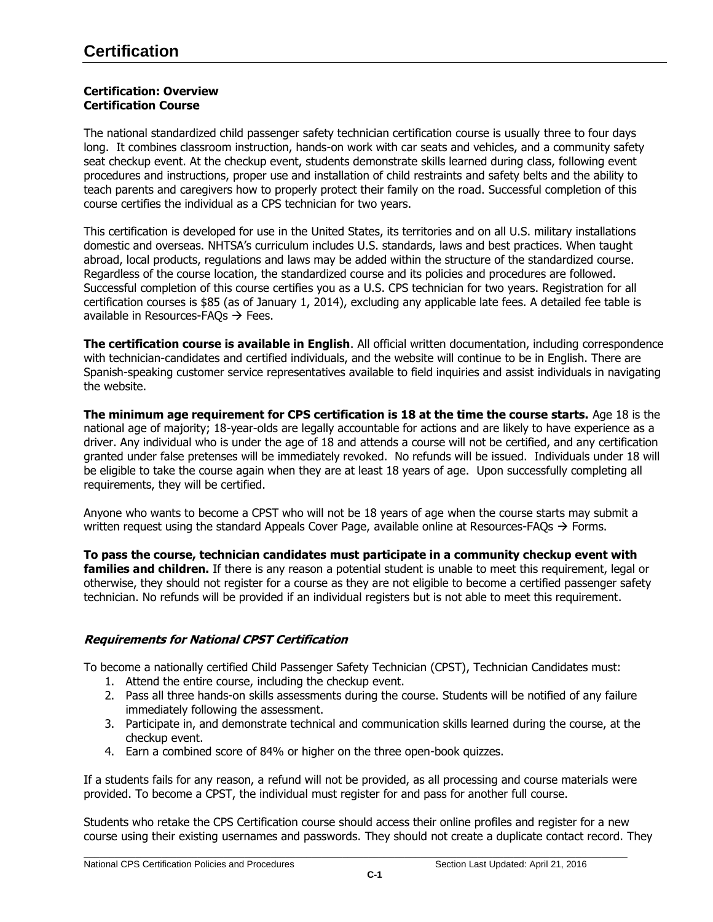## <span id="page-4-0"></span>**Certification: Overview [Certification Course](http://www.safekids.org/certification/certification.html#cert#cert)**

The national standardized child passenger safety technician certification course is usually three to four days long. It combines classroom instruction, hands-on work with car seats and vehicles, and a community safety seat checkup event. At the checkup event, students demonstrate skills learned during class, following event procedures and instructions, proper use and installation of child restraints and safety belts and the ability to teach parents and caregivers how to properly protect their family on the road. Successful completion of this course certifies the individual as a CPS technician for two years.

This certification is developed for use in the United States, its territories and on all U.S. military installations domestic and overseas. NHTSA's curriculum includes U.S. standards, laws and best practices. When taught abroad, local products, regulations and laws may be added within the structure of the standardized course. Regardless of the course location, the standardized course and its policies and procedures are followed. Successful completion of this course certifies you as a U.S. CPS technician for two years. Registration for all certification courses is \$85 (as of January 1, 2014), excluding any applicable late fees. A detailed fee table is available in Resources-FAQs  $\rightarrow$  Fees.

**The certification course is available in English**. All official written documentation, including correspondence with technician-candidates and certified individuals, and the website will continue to be in English. There are Spanish-speaking customer service representatives available to field inquiries and assist individuals in navigating the website.

**The minimum age requirement for CPS certification is 18 at the time the course starts.** Age 18 is the national age of majority; 18-year-olds are legally accountable for actions and are likely to have experience as a driver. Any individual who is under the age of 18 and attends a course will not be certified, and any certification granted under false pretenses will be immediately revoked. No refunds will be issued. Individuals under 18 will be eligible to take the course again when they are at least 18 years of age. Upon successfully completing all requirements, they will be certified.

Anyone who wants to become a CPST who will not be 18 years of age when the course starts may submit a written request using the standard Appeals Cover Page, available online at Resources-FAOs  $\rightarrow$  Forms.

**To pass the course, technician candidates must participate in a community checkup event with families and children.** If there is any reason a potential student is unable to meet this requirement, legal or otherwise, they should not register for a course as they are not eligible to become a certified passenger safety technician. No refunds will be provided if an individual registers but is not able to meet this requirement.

# **Requirements for National CPST Certification**

To become a nationally certified Child Passenger Safety Technician (CPST), Technician Candidates must:

- 1. Attend the entire course, including the checkup event.
- 2. Pass all three hands-on skills assessments during the course. Students will be notified of any failure immediately following the assessment.
- 3. Participate in, and demonstrate technical and communication skills learned during the course, at the checkup event.
- 4. Earn a combined score of 84% or higher on the three open-book quizzes.

If a students fails for any reason, a refund will not be provided, as all processing and course materials were provided. To become a CPST, the individual must register for and pass for another full course.

Students who retake the CPS Certification course should access their online profiles and register for a new course using their existing usernames and passwords. They should not create a duplicate contact record. They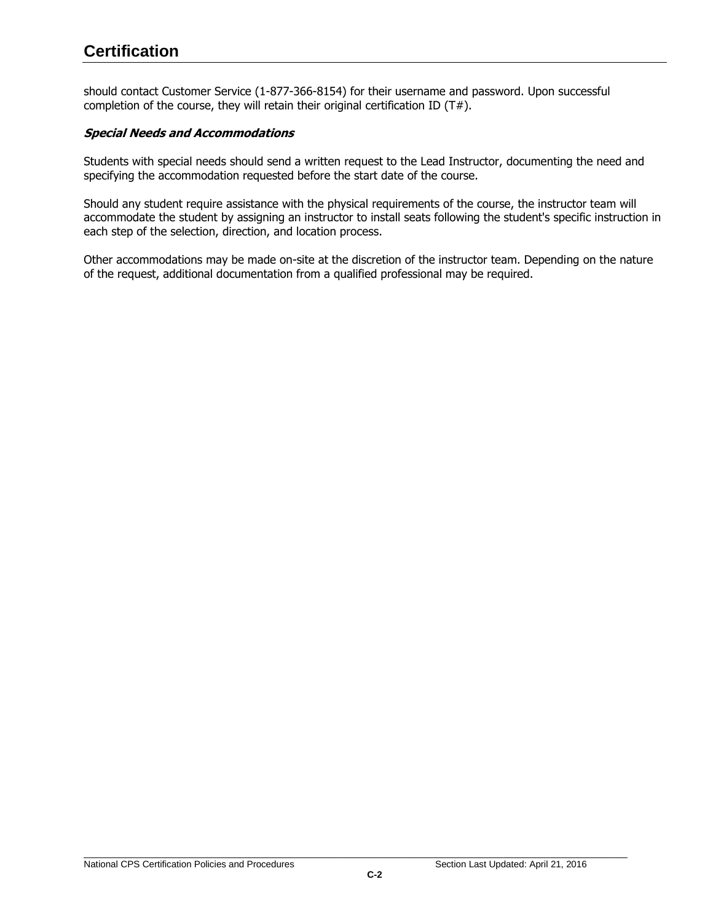should contact Customer Service (1-877-366-8154) for their username and password. Upon successful completion of the course, they will retain their original certification ID (T#).

# **Special Needs and Accommodations**

Students with special needs should send a written request to the Lead Instructor, documenting the need and specifying the accommodation requested before the start date of the course.

Should any student require assistance with the physical requirements of the course, the instructor team will accommodate the student by assigning an instructor to install seats following the student's specific instruction in each step of the selection, direction, and location process.

Other accommodations may be made on-site at the discretion of the instructor team. Depending on the nature of the request, additional documentation from a qualified professional may be required.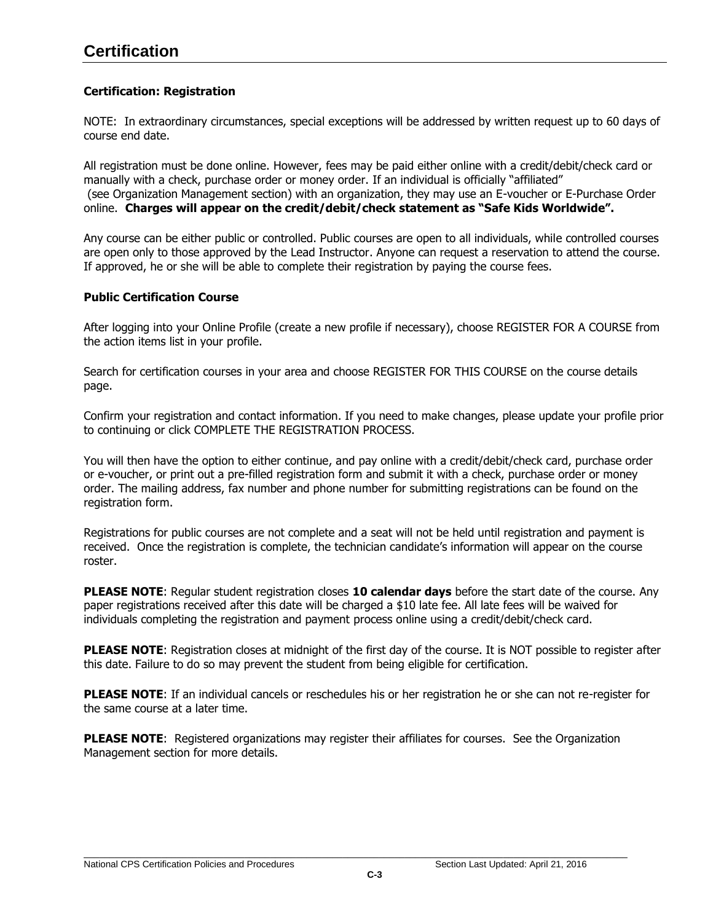# **Certification**

# **Certification: Registration**

NOTE: In extraordinary circumstances, special exceptions will be addressed by written request up to 60 days of course end date.

All registration must be done online. However, fees may be paid either online with a credit/debit/check card or manually with a check, purchase order or money order. If an individual is officially "affiliated" (see Organization Management section) with an organization, they may use an E-voucher or E-Purchase Order online. **Charges will appear on the credit/debit/check statement as "Safe Kids Worldwide".**

Any course can be either public or controlled. Public courses are open to all individuals, while controlled courses are open only to those approved by the Lead Instructor. Anyone can request a reservation to attend the course. If approved, he or she will be able to complete their registration by paying the course fees.

## <span id="page-6-0"></span>**Public Certification Course**

After logging into your Online Profile (create a new profile if necessary), choose REGISTER FOR A COURSE from the action items list in your profile.

Search for certification courses in your area and choose REGISTER FOR THIS COURSE on the course details page.

Confirm your registration and contact information. If you need to make changes, please update your profile prior to continuing or click COMPLETE THE REGISTRATION PROCESS.

You will then have the option to either continue, and pay online with a credit/debit/check card, purchase order or e-voucher, or print out a pre-filled registration form and submit it with a check, purchase order or money order. The mailing address, fax number and phone number for submitting registrations can be found on the registration form.

Registrations for public courses are not complete and a seat will not be held until registration and payment is received. Once the registration is complete, the technician candidate's information will appear on the course roster.

**PLEASE NOTE**: Regular student registration closes **10 calendar days** before the start date of the course. Any paper registrations received after this date will be charged a \$10 late fee. All late fees will be waived for individuals completing the registration and payment process online using a credit/debit/check card.

**PLEASE NOTE**: Registration closes at midnight of the first day of the course. It is NOT possible to register after this date. Failure to do so may prevent the student from being eligible for certification.

**PLEASE NOTE**: If an individual cancels or reschedules his or her registration he or she can not re-register for the same course at a later time.

**PLEASE NOTE:** Registered organizations may register their affiliates for courses. See the Organization Management section for more details.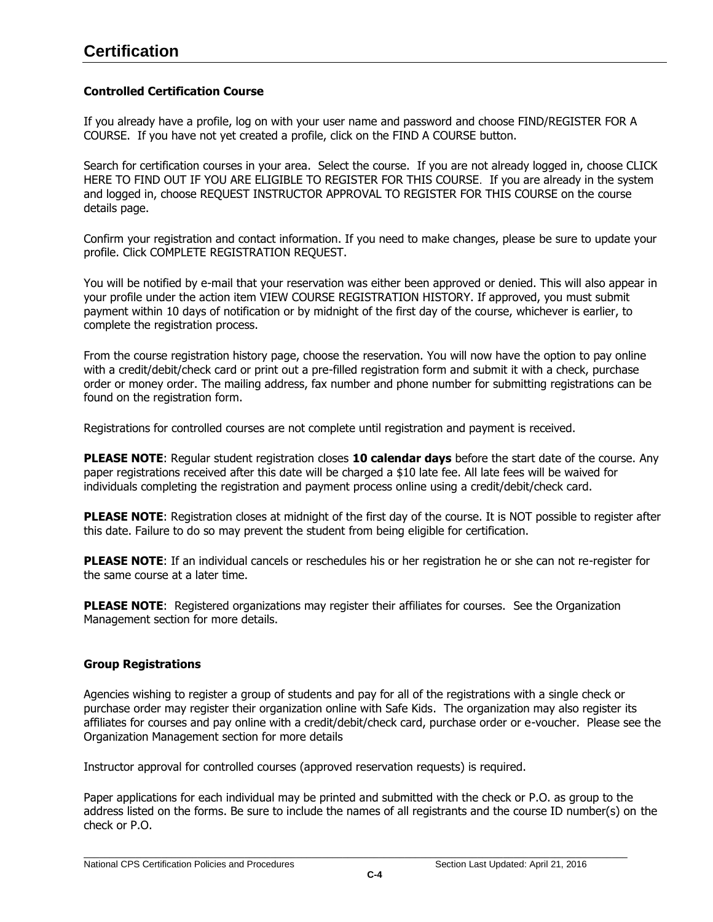# <span id="page-7-0"></span>**Controlled Certification Course**

If you already have a profile, log on with your user name and password and choose FIND/REGISTER FOR A COURSE. If you have not yet created a profile, click on the FIND A COURSE button.

Search for certification courses in your area. Select the course. If you are not already logged in, choose CLICK HERE TO FIND OUT IF YOU ARE ELIGIBLE TO REGISTER FOR THIS COURSE. If you are already in the system and logged in, choose REQUEST INSTRUCTOR APPROVAL TO REGISTER FOR THIS COURSE on the course details page.

Confirm your registration and contact information. If you need to make changes, please be sure to update your profile. Click COMPLETE REGISTRATION REQUEST.

You will be notified by e-mail that your reservation was either been approved or denied. This will also appear in your profile under the action item VIEW COURSE REGISTRATION HISTORY. If approved, you must submit payment within 10 days of notification or by midnight of the first day of the course, whichever is earlier, to complete the registration process.

From the course registration history page, choose the reservation. You will now have the option to pay online with a credit/debit/check card or print out a pre-filled registration form and submit it with a check, purchase order or money order. The mailing address, fax number and phone number for submitting registrations can be found on the registration form.

Registrations for controlled courses are not complete until registration and payment is received.

**PLEASE NOTE**: Regular student registration closes **10 calendar days** before the start date of the course. Any paper registrations received after this date will be charged a \$10 late fee. All late fees will be waived for individuals completing the registration and payment process online using a credit/debit/check card.

**PLEASE NOTE:** Registration closes at midnight of the first day of the course. It is NOT possible to register after this date. Failure to do so may prevent the student from being eligible for certification.

**PLEASE NOTE**: If an individual cancels or reschedules his or her registration he or she can not re-register for the same course at a later time.

**PLEASE NOTE:** Registered organizations may register their affiliates for courses. See the Organization Management section for more details.

# <span id="page-7-1"></span>**Group Registrations**

Agencies wishing to register a group of students and pay for all of the registrations with a single check or purchase order may register their organization online with Safe Kids. The organization may also register its affiliates for courses and pay online with a credit/debit/check card, purchase order or e-voucher. Please see the Organization Management section for more details

Instructor approval for controlled courses (approved reservation requests) is required.

Paper applications for each individual may be printed and submitted with the check or P.O. as group to the address listed on the forms. Be sure to include the names of all registrants and the course ID number(s) on the check or P.O.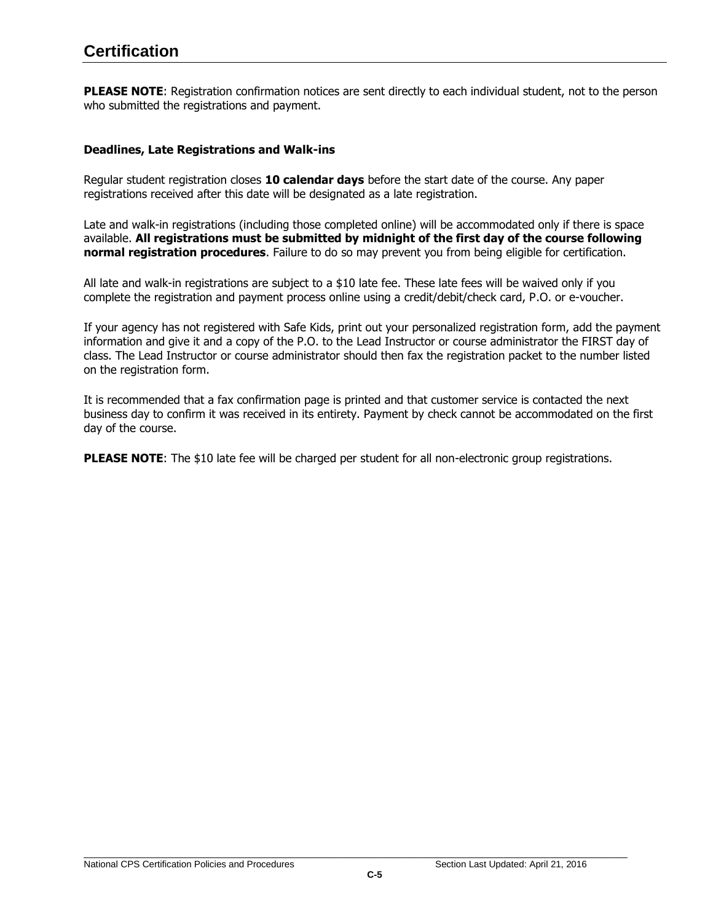# **Certification**

**PLEASE NOTE**: Registration confirmation notices are sent directly to each individual student, not to the person who submitted the registrations and payment.

#### <span id="page-8-0"></span>**Deadlines, Late Registrations and Walk-ins**

Regular student registration closes **10 calendar days** before the start date of the course. Any paper registrations received after this date will be designated as a late registration.

Late and walk-in registrations (including those completed online) will be accommodated only if there is space available. **All registrations must be submitted by midnight of the first day of the course following normal registration procedures**. Failure to do so may prevent you from being eligible for certification.

All late and walk-in registrations are subject to a \$10 late fee. These late fees will be waived only if you complete the registration and payment process online using a credit/debit/check card, P.O. or e-voucher.

If your agency has not registered with Safe Kids, print out your personalized registration form, add the payment information and give it and a copy of the P.O. to the Lead Instructor or course administrator the FIRST day of class. The Lead Instructor or course administrator should then fax the registration packet to the number listed on the registration form.

It is recommended that a fax confirmation page is printed and that customer service is contacted the next business day to confirm it was received in its entirety. Payment by check cannot be accommodated on the first day of the course.

**PLEASE NOTE:** The \$10 late fee will be charged per student for all non-electronic group registrations.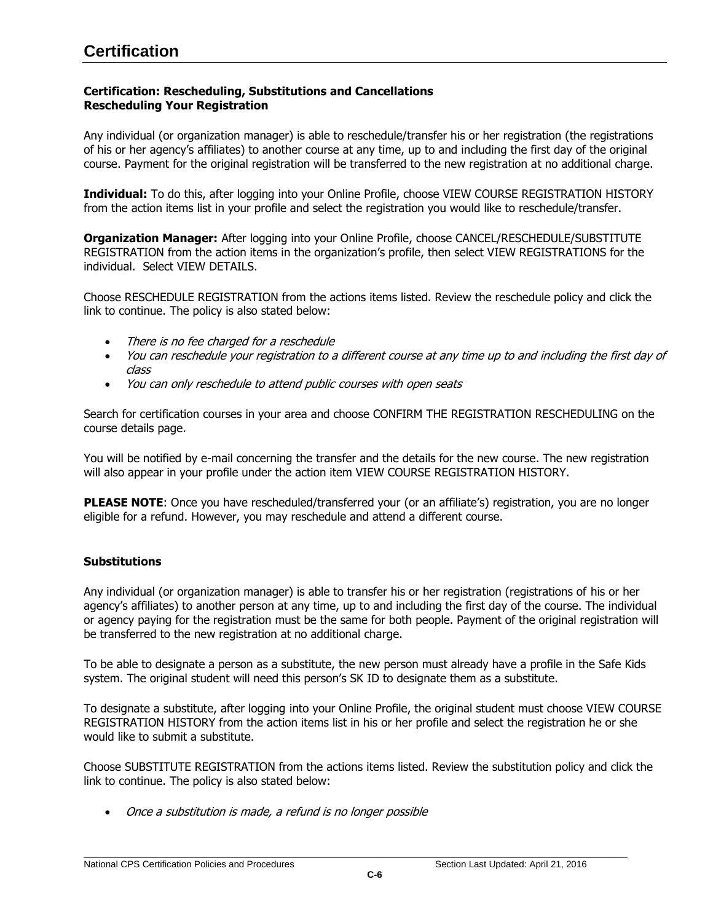# <span id="page-9-0"></span>**Certification: Rescheduling, Substitutions and Cancellations Rescheduling Your Registration**

Any individual (or organization manager) is able to reschedule/transfer his or her registration (the registrations of his or her agency's affiliates) to another course at any time, up to and including the first day of the original course. Payment for the original registration will be transferred to the new registration at no additional charge.

**Individual:** To do this, after logging into your Online Profile, choose VIEW COURSE REGISTRATION HISTORY from the action items list in your profile and select the registration you would like to reschedule/transfer.

**Organization Manager:** After logging into your Online Profile, choose CANCEL/RESCHEDULE/SUBSTITUTE REGISTRATION from the action items in the organization's profile, then select VIEW REGISTRATIONS for the individual. Select VIEW DETAILS.

Choose RESCHEDULE REGISTRATION from the actions items listed. Review the reschedule policy and click the link to continue. The policy is also stated below:

- There is no fee charged for a reschedule
- You can reschedule your registration to a different course at any time up to and including the first day of class
- You can only reschedule to attend public courses with open seats

Search for certification courses in your area and choose CONFIRM THE REGISTRATION RESCHEDULING on the course details page.

You will be notified by e-mail concerning the transfer and the details for the new course. The new registration will also appear in your profile under the action item VIEW COURSE REGISTRATION HISTORY.

**PLEASE NOTE:** Once you have rescheduled/transferred your (or an affiliate's) registration, you are no longer eligible for a refund. However, you may reschedule and attend a different course.

# <span id="page-9-1"></span>**Substitutions**

Any individual (or organization manager) is able to transfer his or her registration (registrations of his or her agency's affiliates) to another person at any time, up to and including the first day of the course. The individual or agency paying for the registration must be the same for both people. Payment of the original registration will be transferred to the new registration at no additional charge.

To be able to designate a person as a substitute, the new person must already have a profile in the Safe Kids system. The original student will need this person's SK ID to designate them as a substitute.

To designate a substitute, after logging into your Online Profile, the original student must choose VIEW COURSE REGISTRATION HISTORY from the action items list in his or her profile and select the registration he or she would like to submit a substitute.

Choose SUBSTITUTE REGISTRATION from the actions items listed. Review the substitution policy and click the link to continue. The policy is also stated below:

Once a substitution is made, a refund is no longer possible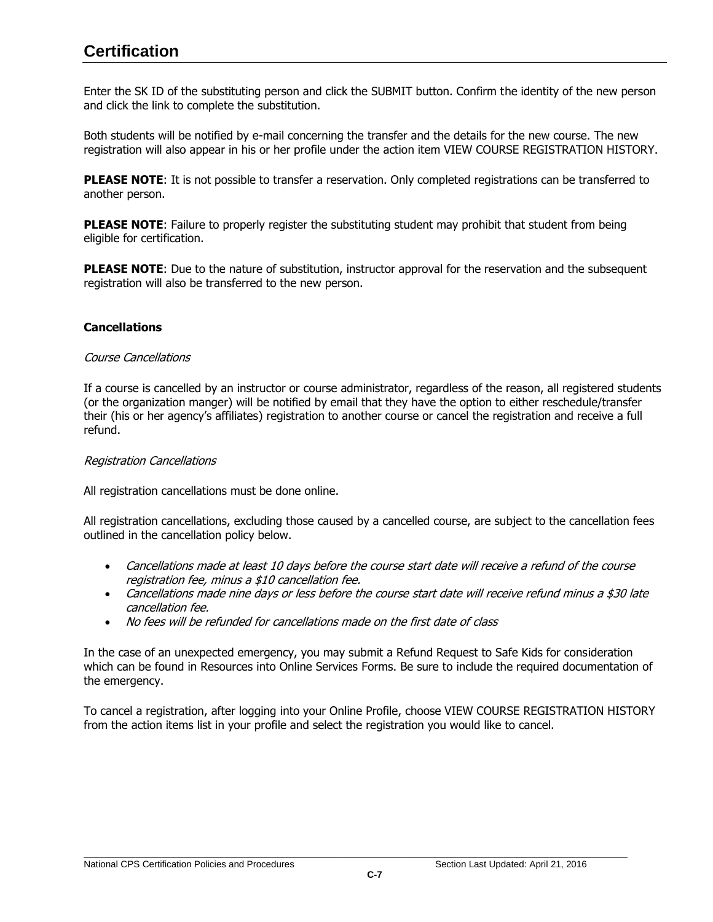# **Certification**

Enter the SK ID of the substituting person and click the SUBMIT button. Confirm the identity of the new person and click the link to complete the substitution.

Both students will be notified by e-mail concerning the transfer and the details for the new course. The new registration will also appear in his or her profile under the action item VIEW COURSE REGISTRATION HISTORY.

**PLEASE NOTE**: It is not possible to transfer a reservation. Only completed registrations can be transferred to another person.

**PLEASE NOTE:** Failure to properly register the substituting student may prohibit that student from being eligible for certification.

**PLEASE NOTE:** Due to the nature of substitution, instructor approval for the reservation and the subsequent registration will also be transferred to the new person.

## <span id="page-10-0"></span>**Cancellations**

#### Course Cancellations

If a course is cancelled by an instructor or course administrator, regardless of the reason, all registered students (or the organization manger) will be notified by email that they have the option to either reschedule/transfer their (his or her agency's affiliates) registration to another course or cancel the registration and receive a full refund.

#### Registration Cancellations

All registration cancellations must be done online.

All registration cancellations, excluding those caused by a cancelled course, are subject to the cancellation fees outlined in the cancellation policy below.

- Cancellations made at least 10 days before the course start date will receive a refund of the course registration fee, minus a \$10 cancellation fee.
- Cancellations made nine days or less before the course start date will receive refund minus a \$30 late cancellation fee.
- No fees will be refunded for cancellations made on the first date of class

In the case of an unexpected emergency, you may submit a Refund Request to Safe Kids for consideration which can be found in Resources [into Online Services](http://www.safekids.org/certification/resources/forms.html) Forms. Be sure to include the required documentation of the emergency.

To cancel a registration, after logging into your Online Profile, choose VIEW COURSE REGISTRATION HISTORY from the action items list in your profile and select the registration you would like to cancel.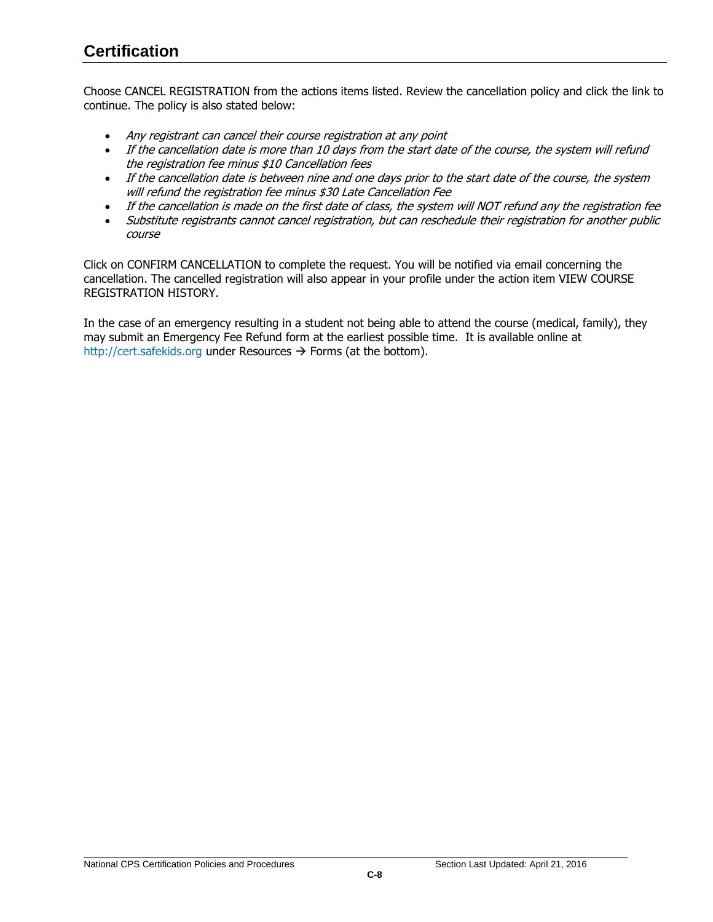# **Certification**

Choose CANCEL REGISTRATION from the actions items listed. Review the cancellation policy and click the link to continue. The policy is also stated below:

- Any registrant can cancel their course registration at any point
- If the cancellation date is more than 10 days from the start date of the course, the system will refund the registration fee minus \$10 Cancellation fees
- If the cancellation date is between nine and one days prior to the start date of the course, the system will refund the registration fee minus \$30 Late Cancellation Fee
- If the cancellation is made on the first date of class, the system will NOT refund any the registration fee
- Substitute registrants cannot cancel registration, but can reschedule their registration for another public course

Click on CONFIRM CANCELLATION to complete the request. You will be notified via email concerning the cancellation. The cancelled registration will also appear in your profile under the action item VIEW COURSE REGISTRATION HISTORY.

In the case of an emergency resulting in a student not being able to attend the course (medical, family), they may submit an Emergency Fee Refund form at the earliest possible time. It is available online at [http://cert.safekids.org](http://cert.safekids.org/) under Resources  $\rightarrow$  Forms (at the bottom).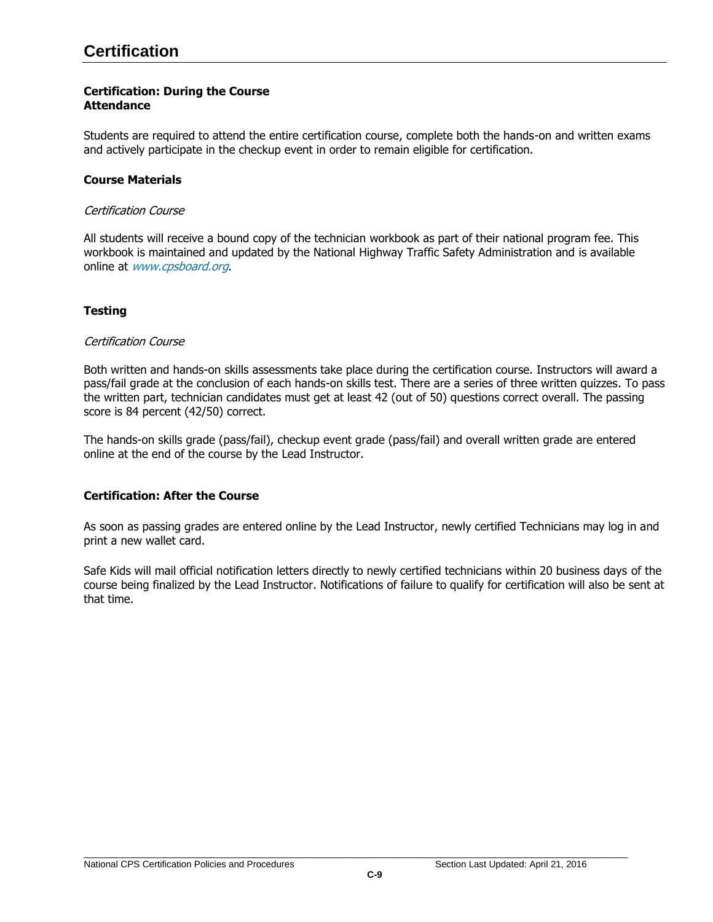# <span id="page-12-0"></span>**Certification: During the Course Attendance**

Students are required to attend the entire certification course, complete both the hands-on and written exams and actively participate in the checkup event in order to remain eligible for certification.

## <span id="page-12-1"></span>**Course Materials**

#### Certification Course

All students will receive a bound copy of the technician workbook as part of their national program fee. This workbook is maintained and updated by the National Highway Traffic Safety Administration and is available online at [www.cpsboard.org](http://www.cpsboard.org/).

# <span id="page-12-2"></span>**Testing**

## Certification Course

Both written and hands-on skills assessments take place during the certification course. Instructors will award a pass/fail grade at the conclusion of each hands-on skills test. There are a series of three written quizzes. To pass the written part, technician candidates must get at least 42 (out of 50) questions correct overall. The passing score is 84 percent (42/50) correct.

The hands-on skills grade (pass/fail), checkup event grade (pass/fail) and overall written grade are entered online at the end of the course by the Lead Instructor.

## <span id="page-12-3"></span>**Certification: After the Course**

As soon as passing grades are entered online by the Lead Instructor, newly certified Technicians may log in and print a new wallet card.

Safe Kids will mail official notification letters directly to newly certified technicians within 20 business days of the course being finalized by the Lead Instructor. Notifications of failure to qualify for certification will also be sent at that time.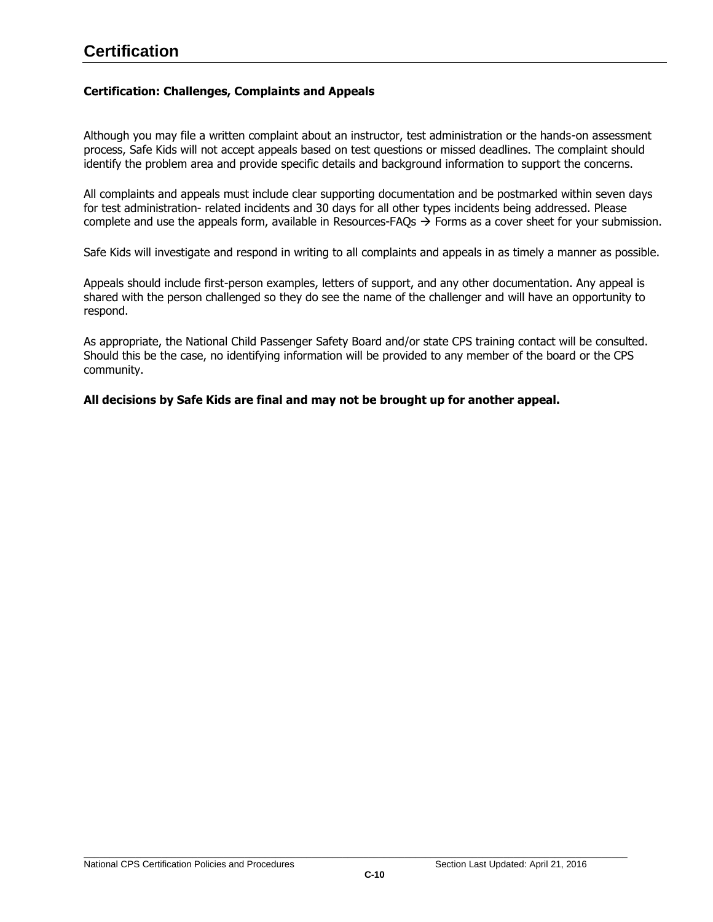# **Certification**

## <span id="page-13-0"></span>**Certification: Challenges, Complaints and Appeals**

Although you may file a written complaint about an instructor, test administration or the hands-on assessment process, Safe Kids will not accept appeals based on test questions or missed deadlines. The complaint should identify the problem area and provide specific details and background information to support the concerns.

All complaints and appeals must include clear supporting documentation and be postmarked within seven days for test administration- related incidents and 30 days for all other types incidents being addressed. Please complete and use the appeals form, available in [Resources-FAQs](http://www.safekids.org/certification/resources/forms.html)  $\rightarrow$  Forms as a cover sheet for your submission.

Safe Kids will investigate and respond in writing to all complaints and appeals in as timely a manner as possible.

Appeals should include first-person examples, letters of support, and any other documentation. Any appeal is shared with the person challenged so they do see the name of the challenger and will have an opportunity to respond.

As appropriate, the National Child Passenger Safety Board and/or state CPS training contact will be consulted. Should this be the case, no identifying information will be provided to any member of the board or the CPS community.

## **All decisions by Safe Kids are final and may not be brought up for another appeal.**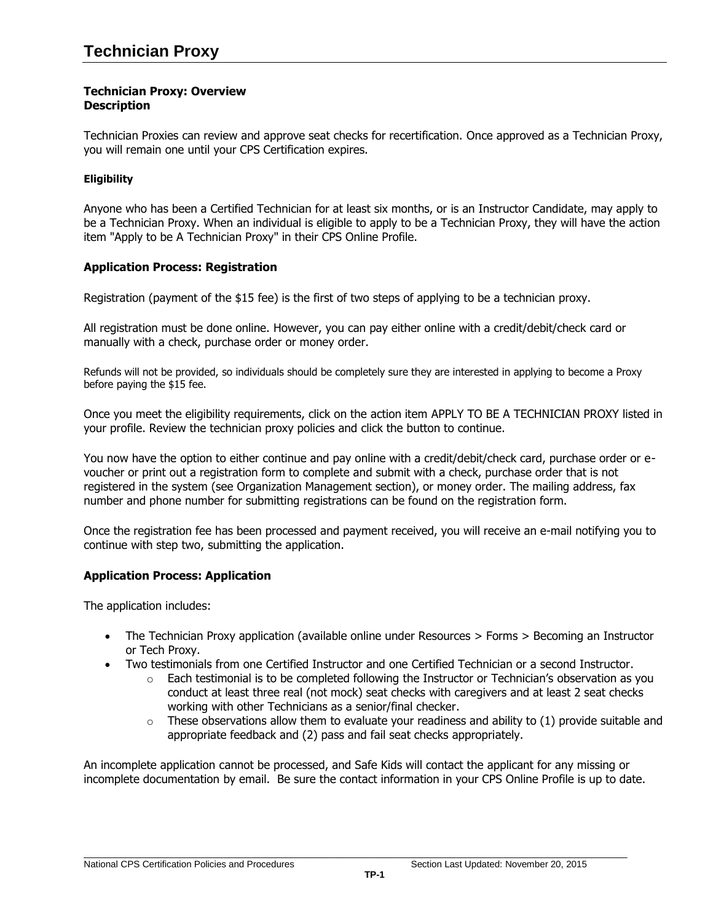## <span id="page-14-0"></span>**Technician Proxy: Overview Description**

Technician Proxies can review and approve seat checks for recertification. Once approved as a Technician Proxy, you will remain one until your CPS Certification expires.

# <span id="page-14-1"></span>**Eligibility**

Anyone who has been a Certified Technician for at least six months, or is an Instructor Candidate, may apply to be a Technician Proxy. When an individual is eligible to apply to be a Technician Proxy, they will have the action item "Apply to be A Technician Proxy" in their CPS Online Profile.

# <span id="page-14-3"></span>**Application Process: Registration**

Registration (payment of the \$15 fee) is the first of two steps of applying to be a technician proxy.

All registration must be done online. However, you can pay either online with a credit/debit/check card or manually with a check, purchase order or money order.

Refunds will not be provided, so individuals should be completely sure they are interested in applying to become a Proxy before paying the \$15 fee.

Once you meet the eligibility requirements, click on the action item APPLY TO BE A TECHNICIAN PROXY listed in your profile. Review the technician proxy policies and click the button to continue.

You now have the option to either continue and pay online with a credit/debit/check card, purchase order or evoucher or print out a registration form to complete and submit with a check, purchase order that is not registered in the system (see Organization Management section), or money order. The mailing address, fax number and phone number for submitting registrations can be found on the registration form.

Once the registration fee has been processed and payment received, you will receive an e-mail notifying you to continue with step two, submitting the application.

## <span id="page-14-2"></span>**Application Process: Application**

The application includes:

- The Technician Proxy application (available online under Resources > Forms > Becoming an Instructor or Tech Proxy.
- Two testimonials from one Certified Instructor and one Certified Technician or a second Instructor.
	- $\circ$  Each testimonial is to be completed following the Instructor or Technician's observation as you conduct at least three real (not mock) seat checks with caregivers and at least 2 seat checks working with other Technicians as a senior/final checker.
	- $\circ$  These observations allow them to evaluate your readiness and ability to (1) provide suitable and appropriate feedback and (2) pass and fail seat checks appropriately.

An incomplete application cannot be processed, and Safe Kids will contact the applicant for any missing or incomplete documentation by email. Be sure the contact information in your CPS Online Profile is up to date.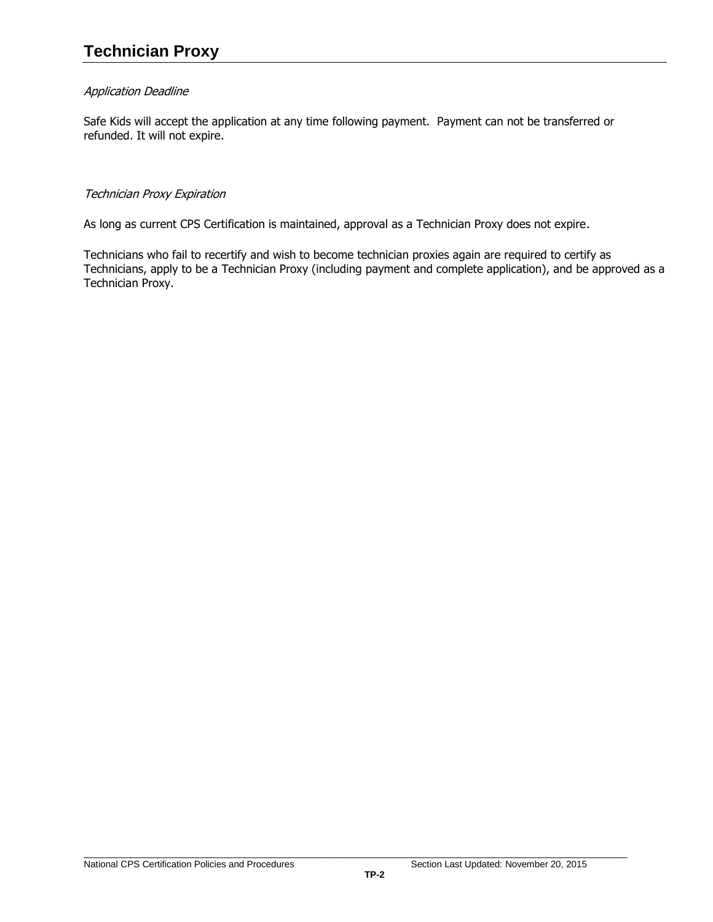# Application Deadline

Safe Kids will accept the application at any time following payment. Payment can not be transferred or refunded. It will not expire.

## Technician Proxy Expiration

As long as current CPS Certification is maintained, approval as a Technician Proxy does not expire.

Technicians who fail to recertify and wish to become technician proxies again are required to certify as Technicians, apply to be a Technician Proxy (including payment and complete application), and be approved as a Technician Proxy.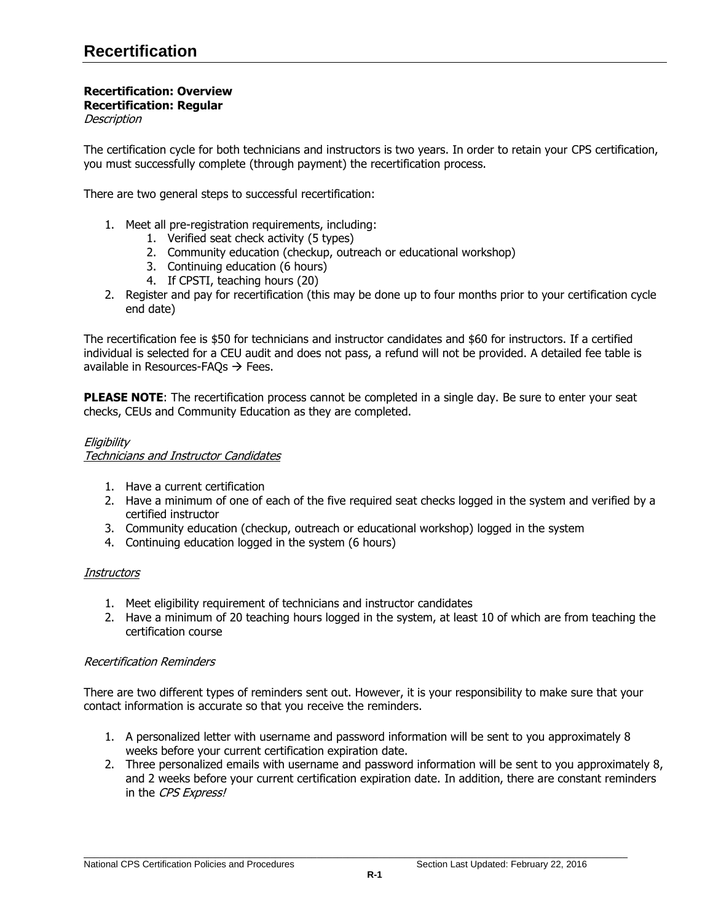#### <span id="page-16-0"></span>**Recertification: Overview Recertification: Regular Description**

The certification cycle for both technicians and instructors is two years. In order to retain your CPS certification, you must successfully complete (through payment) the recertification process.

There are two general steps to successful recertification:

- 1. Meet all pre-registration requirements, including:
	- 1. Verified seat check activity (5 types)
	- 2. Community education (checkup, outreach or educational workshop)
	- 3. Continuing education (6 hours)
	- 4. If CPSTI, teaching hours (20)
- 2. Register and pay for recertification (this may be done up to four months prior to your certification cycle end date)

The recertification fee is \$50 for technicians and instructor candidates and \$60 for instructors. If a certified individual is selected for a CEU audit and does not pass, a refund will not be provided. A detailed fee table is available in Resources-FAQs  $\rightarrow$  Fees.

PLEASE NOTE: The recertification process cannot be completed in a single day. Be sure to enter your seat checks, CEUs and Community Education as they are completed.

# **Eligibility** Technicians and Instructor Candidates

- 1. Have a current certification
- 2. Have a minimum of one of each of the five required seat checks logged in the system and verified by a certified instructor
- 3. Community education (checkup, outreach or educational workshop) logged in the system
- 4. Continuing education logged in the system (6 hours)

## **Instructors**

- 1. Meet eligibility requirement of technicians and instructor candidates
- 2. Have a minimum of 20 teaching hours logged in the system, at least 10 of which are from teaching the certification course

## Recertification Reminders

There are two different types of reminders sent out. However, it is your responsibility to make sure that your contact information is accurate so that you receive the reminders.

- 1. A personalized letter with username and password information will be sent to you approximately 8 weeks before your current certification expiration date.
- 2. Three personalized emails with username and password information will be sent to you approximately 8, and 2 weeks before your current certification expiration date. In addition, there are constant reminders in the CPS Express!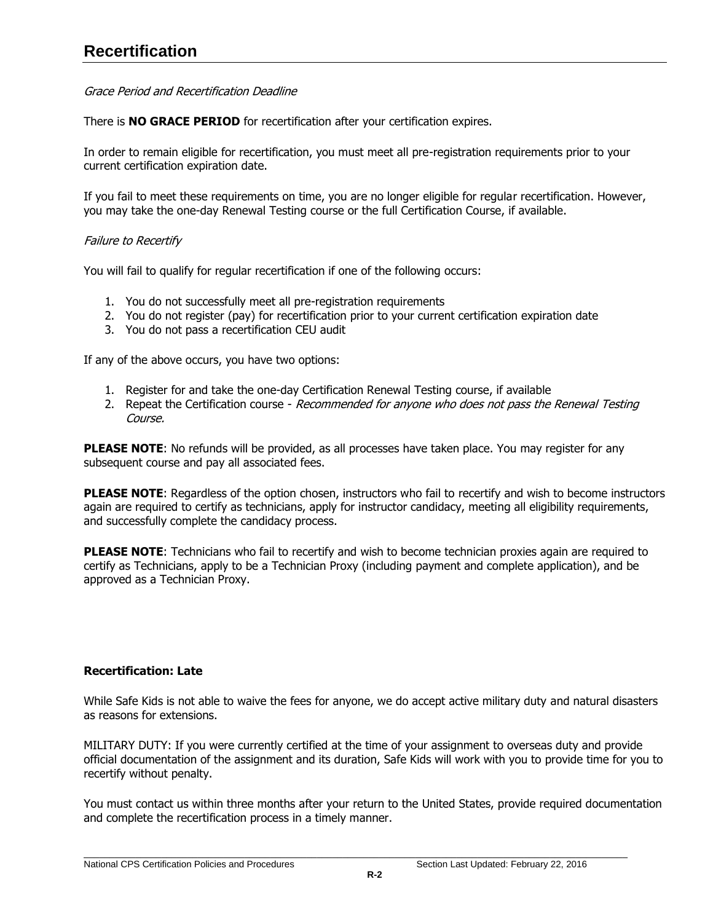## Grace Period and Recertification Deadline

There is **NO GRACE PERIOD** for recertification after your certification expires.

In order to remain eligible for recertification, you must meet all pre-registration requirements prior to your current certification expiration date.

If you fail to meet these requirements on time, you are no longer eligible for regular recertification. However, you may take the one-day Renewal Testing course or the full Certification Course, if available.

# Failure to Recertify

You will fail to qualify for regular recertification if one of the following occurs:

- 1. You do not successfully meet all pre-registration requirements
- 2. You do not register (pay) for recertification prior to your current certification expiration date
- 3. You do not pass a recertification CEU audit

If any of the above occurs, you have two options:

- 1. Register for and take the one-day Certification Renewal Testing course, if available
- 2. Repeat the Certification course Recommended for anyone who does not pass the Renewal Testing Course.

PLEASE NOTE: No refunds will be provided, as all processes have taken place. You may register for any subsequent course and pay all associated fees.

**PLEASE NOTE:** Regardless of the option chosen, instructors who fail to recertify and wish to become instructors again are required to certify as technicians, apply for instructor candidacy, meeting all eligibility requirements, and successfully complete the candidacy process.

**PLEASE NOTE:** Technicians who fail to recertify and wish to become technician proxies again are required to certify as Technicians, apply to be a Technician Proxy (including payment and complete application), and be approved as a Technician Proxy.

## <span id="page-17-0"></span>**Recertification: Late**

While Safe Kids is not able to waive the fees for anyone, we do accept active military duty and natural disasters as reasons for extensions.

MILITARY DUTY: If you were currently certified at the time of your assignment to overseas duty and provide official documentation of the assignment and its duration, Safe Kids will work with you to provide time for you to recertify without penalty.

You must contact us within three months after your return to the United States, provide required documentation and complete the recertification process in a timely manner.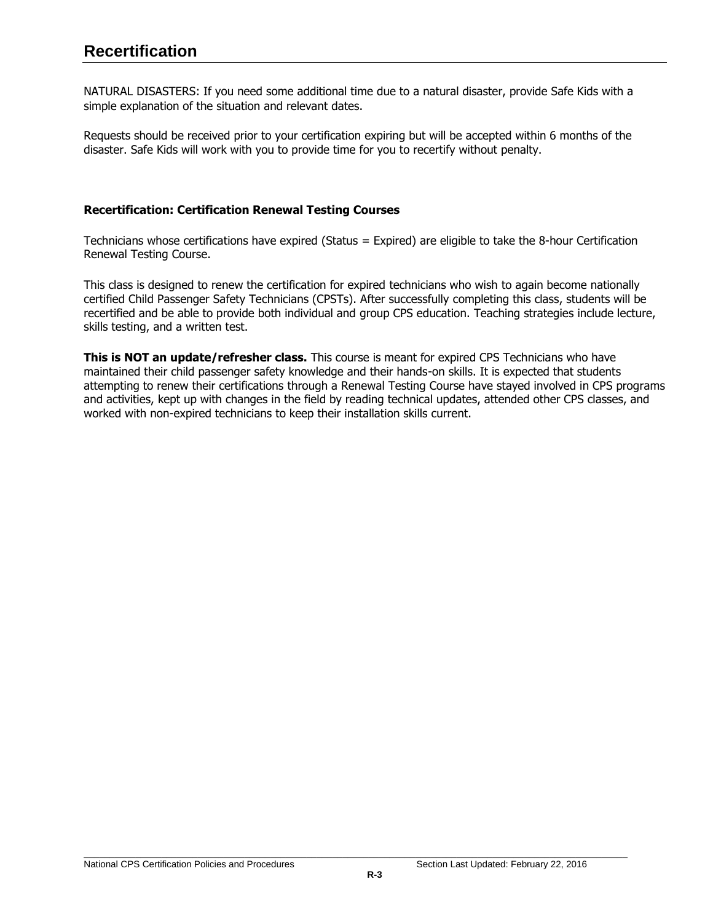NATURAL DISASTERS: If you need some additional time due to a natural disaster, provide Safe Kids with a simple explanation of the situation and relevant dates.

Requests should be received prior to your certification expiring but will be accepted within 6 months of the disaster. Safe Kids will work with you to provide time for you to recertify without penalty.

# <span id="page-18-0"></span>**Recertification: Certification Renewal Testing Courses**

Technicians whose certifications have expired (Status = Expired) are eligible to take the 8-hour Certification Renewal Testing Course.

This class is designed to renew the certification for expired technicians who wish to again become nationally certified Child Passenger Safety Technicians (CPSTs). After successfully completing this class, students will be recertified and be able to provide both individual and group CPS education. Teaching strategies include lecture, skills testing, and a written test.

**This is NOT an update/refresher class.** This course is meant for expired CPS Technicians who have maintained their child passenger safety knowledge and their hands-on skills. It is expected that students attempting to renew their certifications through a Renewal Testing Course have stayed involved in CPS programs and activities, kept up with changes in the field by reading technical updates, attended other CPS classes, and worked with non-expired technicians to keep their installation skills current.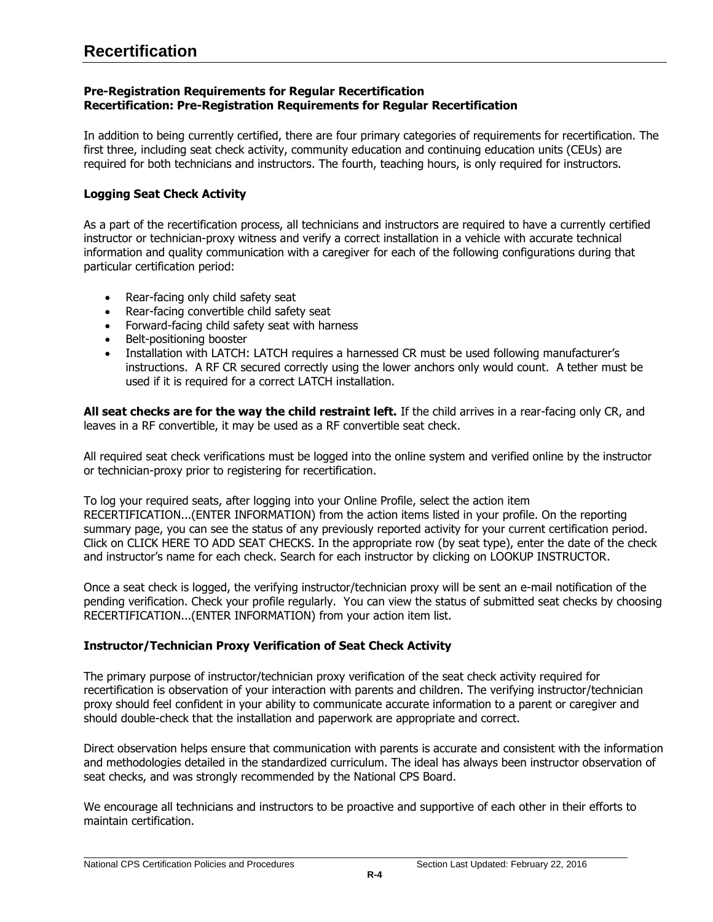# <span id="page-19-0"></span>**Pre-Registration Requirements for Regular Recertification Recertification: Pre-Registration Requirements for Regular Recertification**

In addition to being currently certified, there are four primary categories of requirements for recertification. The first three, including seat check activity, community education and continuing education units (CEUs) are required for both technicians and instructors. The fourth, teaching hours, is only required for instructors.

# <span id="page-19-1"></span>**Logging Seat Check Activity**

As a part of the recertification process, all technicians and instructors are required to have a currently certified instructor or technician-proxy witness and verify a correct installation in a vehicle with accurate technical information and quality communication with a caregiver for each of the following configurations during that particular certification period:

- Rear-facing only child safety seat
- Rear-facing convertible child safety seat
- Forward-facing child safety seat with harness
- Belt-positioning booster
- Installation with LATCH: LATCH requires a harnessed CR must be used following manufacturer's instructions. A RF CR secured correctly using the lower anchors only would count. A tether must be used if it is required for a correct LATCH installation.

**All seat checks are for the way the child restraint left.** If the child arrives in a rear-facing only CR, and leaves in a RF convertible, it may be used as a RF convertible seat check.

All required seat check verifications must be logged into the online system and verified online by the instructor or technician-proxy prior to registering for recertification.

To log your required seats, after logging into your Online Profile, select the action item RECERTIFICATION...(ENTER INFORMATION) from the action items listed in your profile. On the reporting summary page, you can see the status of any previously reported activity for your current certification period. Click on CLICK HERE TO ADD SEAT CHECKS. In the appropriate row (by seat type), enter the date of the check and instructor's name for each check. Search for each instructor by clicking on LOOKUP INSTRUCTOR.

Once a seat check is logged, the verifying instructor/technician proxy will be sent an e-mail notification of the pending verification. Check your profile regularly. You can view the status of submitted seat checks by choosing RECERTIFICATION...(ENTER INFORMATION) from your action item list.

# <span id="page-19-2"></span>**Instructor/Technician Proxy Verification of Seat Check Activity**

The primary purpose of instructor/technician proxy verification of the seat check activity required for recertification is observation of your interaction with parents and children. The verifying instructor/technician proxy should feel confident in your ability to communicate accurate information to a parent or caregiver and should double-check that the installation and paperwork are appropriate and correct.

Direct observation helps ensure that communication with parents is accurate and consistent with the information and methodologies detailed in the standardized curriculum. The ideal has always been instructor observation of seat checks, and was strongly recommended by the National CPS Board.

We encourage all technicians and instructors to be proactive and supportive of each other in their efforts to maintain certification.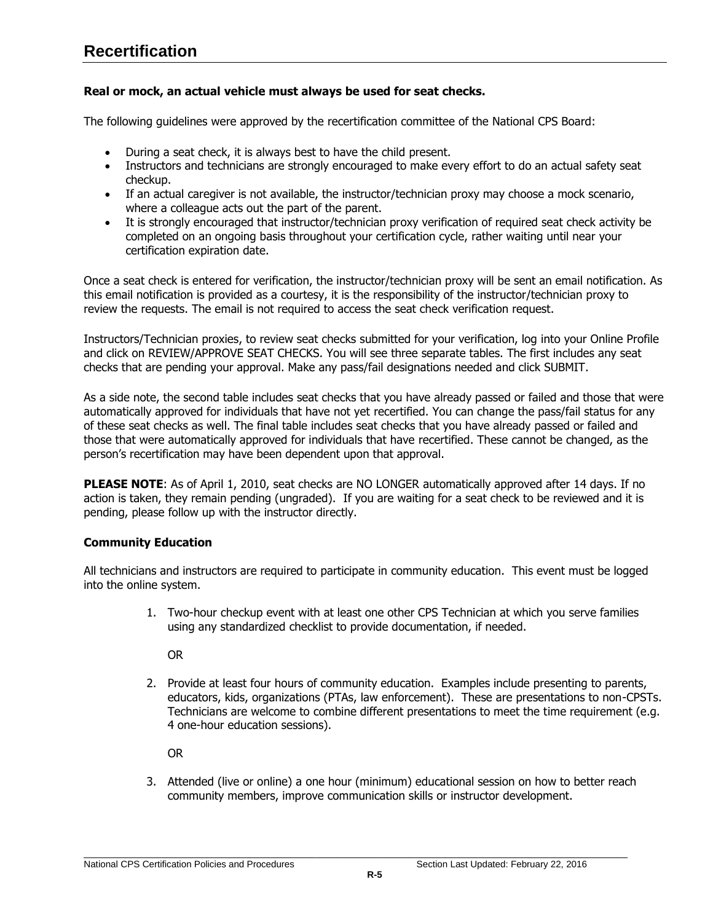# **Recertification**

# **Real or mock, an actual vehicle must always be used for seat checks.**

The following guidelines were approved by the recertification committee of the National CPS Board:

- During a seat check, it is always best to have the child present.
- Instructors and technicians are strongly encouraged to make every effort to do an actual safety seat checkup.
- If an actual caregiver is not available, the instructor/technician proxy may choose a mock scenario, where a colleague acts out the part of the parent.
- It is strongly encouraged that instructor/technician proxy verification of required seat check activity be completed on an ongoing basis throughout your certification cycle, rather waiting until near your certification expiration date.

Once a seat check is entered for verification, the instructor/technician proxy will be sent an email notification. As this email notification is provided as a courtesy, it is the responsibility of the instructor/technician proxy to review the requests. The email is not required to access the seat check verification request.

Instructors/Technician proxies, to review seat checks submitted for your verification, log into your Online Profile and click on REVIEW/APPROVE SEAT CHECKS. You will see three separate tables. The first includes any seat checks that are pending your approval. Make any pass/fail designations needed and click SUBMIT.

As a side note, the second table includes seat checks that you have already passed or failed and those that were automatically approved for individuals that have not yet recertified. You can change the pass/fail status for any of these seat checks as well. The final table includes seat checks that you have already passed or failed and those that were automatically approved for individuals that have recertified. These cannot be changed, as the person's recertification may have been dependent upon that approval.

**PLEASE NOTE:** As of April 1, 2010, seat checks are NO LONGER automatically approved after 14 days. If no action is taken, they remain pending (ungraded). If you are waiting for a seat check to be reviewed and it is pending, please follow up with the instructor directly.

## **Community Education**

All technicians and instructors are required to participate in community education. This event must be logged into the online system.

> 1. Two-hour checkup event with at least one other CPS Technician at which you serve families using any standardized checklist to provide documentation, if needed.

OR

2. Provide at least four hours of community education. Examples include presenting to parents, educators, kids, organizations (PTAs, law enforcement). These are presentations to non-CPSTs. Technicians are welcome to combine different presentations to meet the time requirement (e.g. 4 one-hour education sessions).

OR

3. Attended (live or online) a one hour (minimum) educational session on how to better reach community members, improve communication skills or instructor development.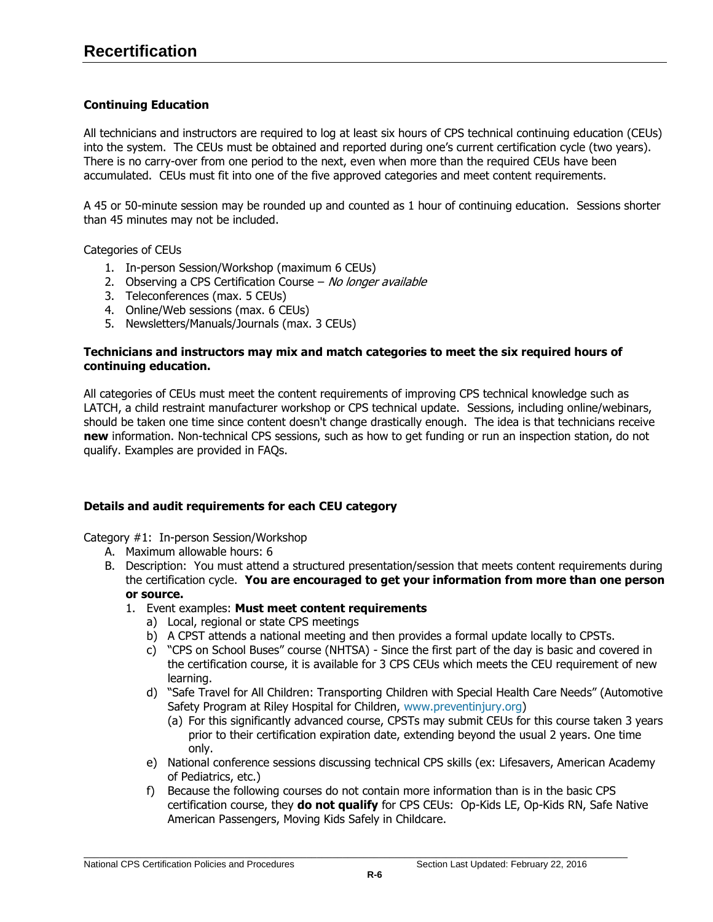# <span id="page-21-0"></span>**Continuing Education**

All technicians and instructors are required to log at least six hours of CPS technical continuing education (CEUs) into the system. The CEUs must be obtained and reported during one's current certification cycle (two years). There is no carry-over from one period to the next, even when more than the required CEUs have been accumulated. CEUs must fit into one of the five approved categories and meet content requirements.

A 45 or 50-minute session may be rounded up and counted as 1 hour of continuing education. Sessions shorter than 45 minutes may not be included.

Categories of CEUs

- 1. In-person Session/Workshop (maximum 6 CEUs)
- 2. Observing a CPS Certification Course No longer available
- 3. Teleconferences (max. 5 CEUs)
- 4. Online/Web sessions (max. 6 CEUs)
- 5. Newsletters/Manuals/Journals (max. 3 CEUs)

## **Technicians and instructors may mix and match categories to meet the six required hours of continuing education.**

All categories of CEUs must meet the content requirements of improving CPS technical knowledge such as LATCH, a child restraint manufacturer workshop or CPS technical update. Sessions, including online/webinars, should be taken one time since content doesn't change drastically enough. The idea is that technicians receive **new** information. Non-technical CPS sessions, such as how to get funding or run an inspection station, do not qualify. Examples are provided in FAQs.

# **Details and audit requirements for each CEU category**

Category #1: In-person Session/Workshop

- A. Maximum allowable hours: 6
- B. Description: You must attend a structured presentation/session that meets content requirements during the certification cycle. **You are encouraged to get your information from more than one person or source.**

## 1. Event examples: **Must meet content requirements**

- a) Local, regional or state CPS meetings
- b) A CPST attends a national meeting and then provides a formal update locally to CPSTs.
- c) "CPS on School Buses" course (NHTSA) Since the first part of the day is basic and covered in the certification course, it is available for 3 CPS CEUs which meets the CEU requirement of new learning.
- d) "Safe Travel for All Children: Transporting Children with Special Health Care Needs" (Automotive Safety Program at Riley Hospital for Children, [www.preventinjury.org\)](http://www.preventinjury.org/)
	- (a) For this significantly advanced course, CPSTs may submit CEUs for this course taken 3 years prior to their certification expiration date, extending beyond the usual 2 years. One time only.
- e) National conference sessions discussing technical CPS skills (ex: Lifesavers, American Academy of Pediatrics, etc.)
- f) Because the following courses do not contain more information than is in the basic CPS certification course, they **do not qualify** for CPS CEUs: Op-Kids LE, Op-Kids RN, Safe Native American Passengers, Moving Kids Safely in Childcare.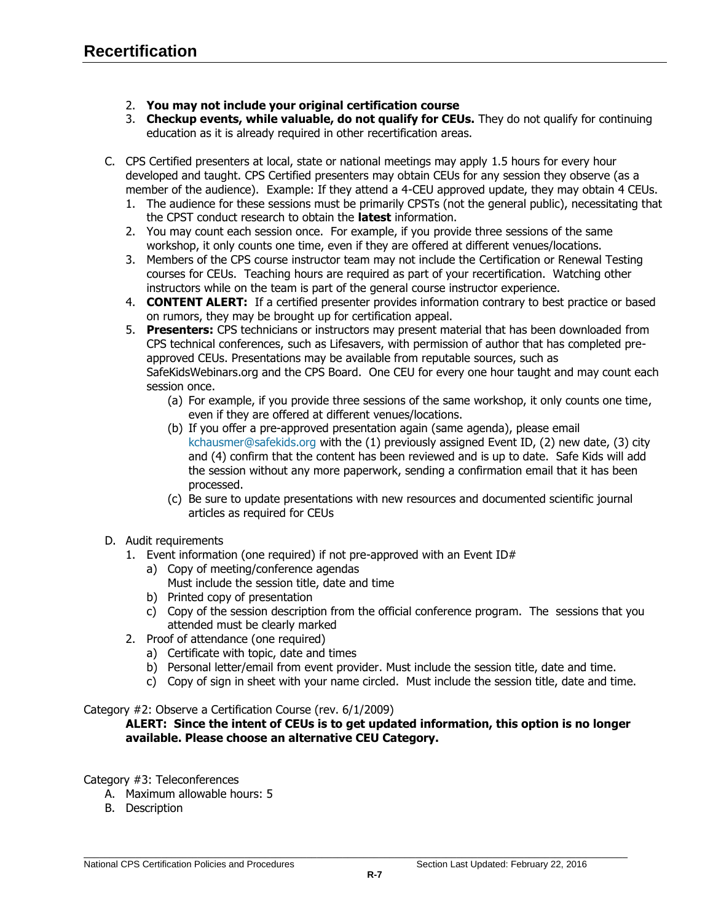- 2. **You may not include your original certification course**
- 3. **Checkup events, while valuable, do not qualify for CEUs.** They do not qualify for continuing education as it is already required in other recertification areas.
- C. CPS Certified presenters at local, state or national meetings may apply 1.5 hours for every hour developed and taught. CPS Certified presenters may obtain CEUs for any session they observe (as a member of the audience). Example: If they attend a 4-CEU approved update, they may obtain 4 CEUs.
	- 1. The audience for these sessions must be primarily CPSTs (not the general public), necessitating that the CPST conduct research to obtain the **latest** information.
	- 2. You may count each session once. For example, if you provide three sessions of the same workshop, it only counts one time, even if they are offered at different venues/locations.
	- 3. Members of the CPS course instructor team may not include the Certification or Renewal Testing courses for CEUs. Teaching hours are required as part of your recertification. Watching other instructors while on the team is part of the general course instructor experience.
	- 4. **CONTENT ALERT:** If a certified presenter provides information contrary to best practice or based on rumors, they may be brought up for certification appeal.
	- 5. **Presenters:** CPS technicians or instructors may present material that has been downloaded from CPS technical conferences, such as Lifesavers, with permission of author that has completed preapproved CEUs. Presentations may be available from reputable sources, such as SafeKidsWebinars.org and the CPS Board. One CEU for every one hour taught and may count each session once.
		- (a) For example, if you provide three sessions of the same workshop, it only counts one time, even if they are offered at different venues/locations.
		- (b) If you offer a pre-approved presentation again (same agenda), please email [kchausmer@safekids.org](mailto:kchausmer@safekids.org) with the (1) previously assigned Event ID, (2) new date, (3) city and (4) confirm that the content has been reviewed and is up to date. Safe Kids will add the session without any more paperwork, sending a confirmation email that it has been processed.
		- (c) Be sure to update presentations with new resources and documented scientific journal articles as required for CEUs
- D. Audit requirements
	- 1. Event information (one required) if not pre-approved with an Event ID $#$ 
		- a) Copy of meeting/conference agendas Must include the session title, date and time
		- b) Printed copy of presentation
		- c) Copy of the session description from the official conference program. The sessions that you attended must be clearly marked
	- 2. Proof of attendance (one required)
		- a) Certificate with topic, date and times
		- b) Personal letter/email from event provider. Must include the session title, date and time.
		- c) Copy of sign in sheet with your name circled. Must include the session title, date and time.

## Category #2: Observe a Certification Course (rev. 6/1/2009)

## **ALERT: Since the intent of CEUs is to get updated information, this option is no longer available. Please choose an alternative CEU Category.**

- Category #3: Teleconferences
	- A. Maximum allowable hours: 5
	- B. Description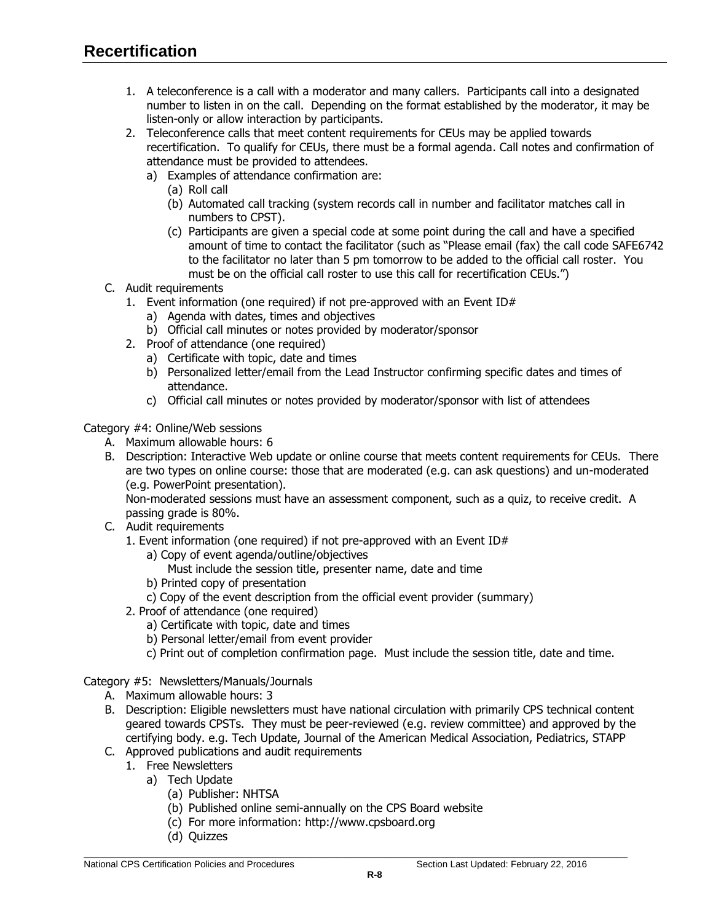- 1. A teleconference is a call with a moderator and many callers. Participants call into a designated number to listen in on the call. Depending on the format established by the moderator, it may be listen-only or allow interaction by participants.
- 2. Teleconference calls that meet content requirements for CEUs may be applied towards recertification. To qualify for CEUs, there must be a formal agenda. Call notes and confirmation of attendance must be provided to attendees.
	- a) Examples of attendance confirmation are:
		- (a) Roll call
		- (b) Automated call tracking (system records call in number and facilitator matches call in numbers to CPST).
		- (c) Participants are given a special code at some point during the call and have a specified amount of time to contact the facilitator (such as "Please email (fax) the call code SAFE6742 to the facilitator no later than 5 pm tomorrow to be added to the official call roster. You must be on the official call roster to use this call for recertification CEUs.")
- C. Audit requirements
	- 1. Event information (one required) if not pre-approved with an Event ID#
		- a) Agenda with dates, times and objectives
		- b) Official call minutes or notes provided by moderator/sponsor
	- 2. Proof of attendance (one required)
		- a) Certificate with topic, date and times
		- b) Personalized letter/email from the Lead Instructor confirming specific dates and times of attendance.
		- c) Official call minutes or notes provided by moderator/sponsor with list of attendees

Category #4: Online/Web sessions

- A. Maximum allowable hours: 6
- B. Description: Interactive Web update or online course that meets content requirements for CEUs. There are two types on online course: those that are moderated (e.g. can ask questions) and un-moderated (e.g. PowerPoint presentation).

Non-moderated sessions must have an assessment component, such as a quiz, to receive credit. A passing grade is 80%.

- C. Audit requirements
	- 1. Event information (one required) if not pre-approved with an Event ID#
		- a) Copy of event agenda/outline/objectives
			- Must include the session title, presenter name, date and time
		- b) Printed copy of presentation
		- c) Copy of the event description from the official event provider (summary)
	- 2. Proof of attendance (one required)
		- a) Certificate with topic, date and times
		- b) Personal letter/email from event provider
		- c) Print out of completion confirmation page. Must include the session title, date and time.

## Category #5: Newsletters/Manuals/Journals

- A. Maximum allowable hours: 3
- B. Description: Eligible newsletters must have national circulation with primarily CPS technical content geared towards CPSTs. They must be peer-reviewed (e.g. review committee) and approved by the certifying body. e.g. Tech Update, Journal of the American Medical Association, Pediatrics, STAPP
- C. Approved publications and audit requirements
	- 1. Free Newsletters
		- a) Tech Update
			- (a) Publisher: NHTSA
			- (b) Published online semi-annually on the CPS Board website
			- (c) For more information: [http://www.cpsboard.org](http://www.cpsboard.org/)
			- (d) Quizzes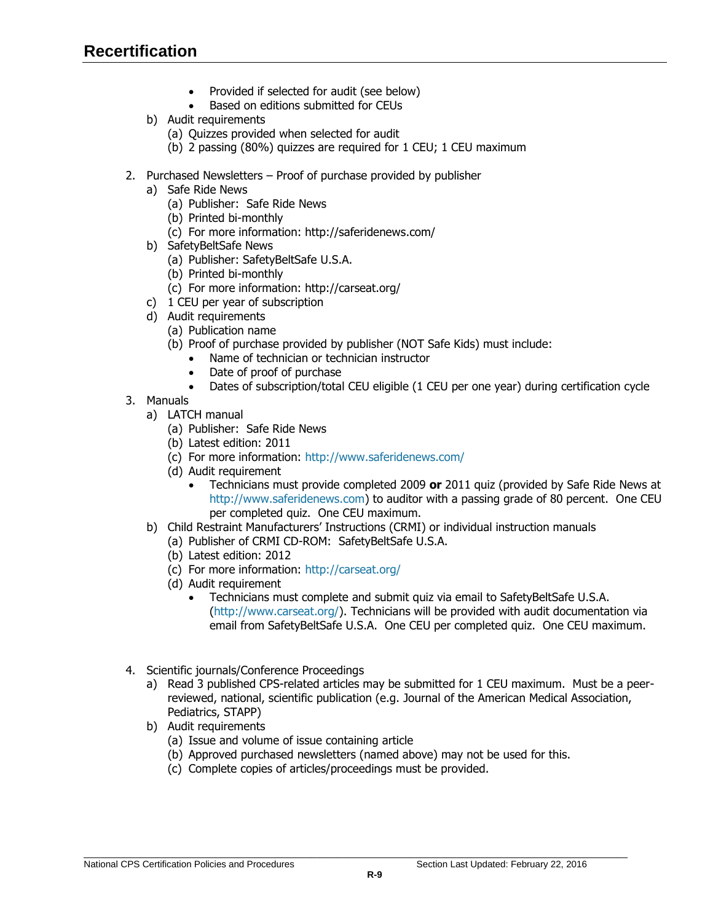- Provided if selected for audit (see below)
- Based on editions submitted for CEUs
- b) Audit requirements
	- (a) Quizzes provided when selected for audit
	- (b) 2 passing (80%) quizzes are required for 1 CEU; 1 CEU maximum
- 2. Purchased Newsletters Proof of purchase provided by publisher
	- a) Safe Ride News
		- (a) Publisher: Safe Ride News
		- (b) Printed bi-monthly
		- (c) For more information: http://saferidenews.com/
	- b) SafetyBeltSafe News
		- (a) Publisher: SafetyBeltSafe U.S.A.
		- (b) Printed bi-monthly
		- (c) For more information: http://carseat.org/
	- c) 1 CEU per year of subscription
	- d) Audit requirements
		- (a) Publication name
		- (b) Proof of purchase provided by publisher (NOT Safe Kids) must include:
			- Name of technician or technician instructor
			- Date of proof of purchase
			- Dates of subscription/total CEU eligible (1 CEU per one year) during certification cycle
- 3. Manuals
	- a) LATCH manual
		- (a) Publisher: Safe Ride News
		- (b) Latest edition: 2011
		- (c) For more information: [http://www.saferidenews.com/](http://sk.convio.net/site/R?i=y0qLI9dcm-1Z_zpoorrOsw..)
		- (d) Audit requirement
			- Technicians must provide completed 2009 **or** 2011 quiz (provided by Safe Ride News at [http://www.saferidenews.com\)](http://sk.convio.net/site/R?i=y0qLI9dcm-1Z_zpoorrOsw..) to auditor with a passing grade of 80 percent. One CEU per completed quiz. One CEU maximum.
	- b) Child Restraint Manufacturers' Instructions (CRMI) or individual instruction manuals
		- (a) Publisher of CRMI CD-ROM: SafetyBeltSafe U.S.A.
		- (b) Latest edition: 2012
		- (c) For more information: [http://carseat.org/](http://sk.convio.net/site/R?i=6pF2DJAr4p4baTC0aEdNSw..)
		- (d) Audit requirement
			- Technicians must complete and submit quiz via email to SafetyBeltSafe U.S.A. [\(http://www.carseat.org/\)](http://www.carseat.org/). Technicians will be provided with audit documentation via email from SafetyBeltSafe U.S.A. One CEU per completed quiz. One CEU maximum.
- <span id="page-24-0"></span>4. Scientific journals/Conference Proceedings
	- a) Read 3 published CPS-related articles may be submitted for 1 CEU maximum. Must be a peerreviewed, national, scientific publication (e.g. Journal of the American Medical Association, Pediatrics, STAPP)
	- b) Audit requirements
		- (a) Issue and volume of issue containing article
		- (b) Approved purchased newsletters (named above) may not be used for this.
		- (c) Complete copies of articles/proceedings must be provided.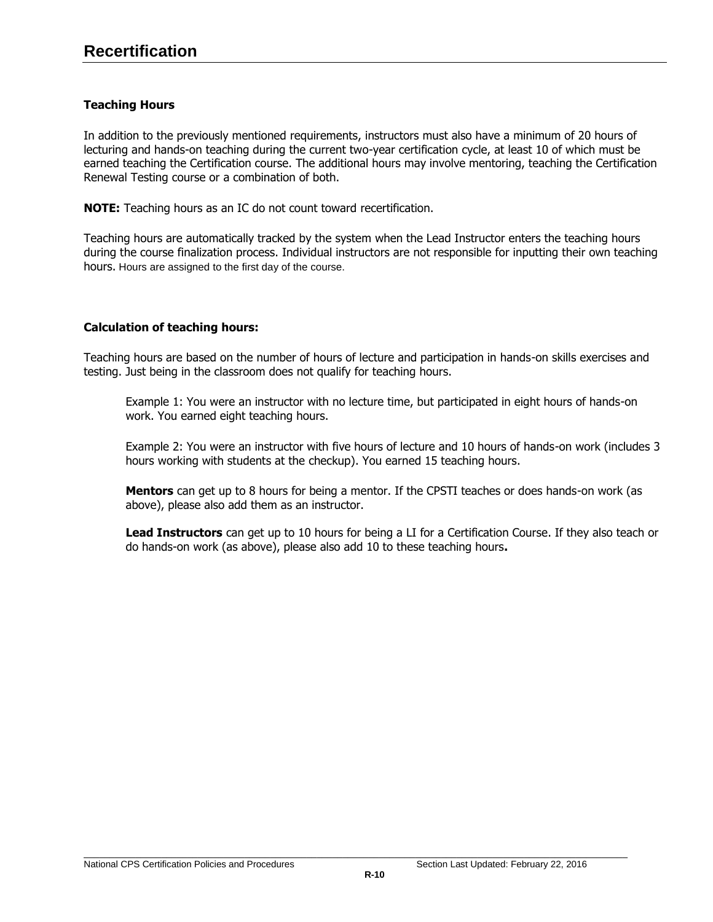# **Teaching Hours**

In addition to the previously mentioned requirements, instructors must also have a minimum of 20 hours of lecturing and hands-on teaching during the current two-year certification cycle, at least 10 of which must be earned teaching the Certification course. The additional hours may involve mentoring, teaching the Certification Renewal Testing course or a combination of both.

**NOTE:** Teaching hours as an IC do not count toward recertification.

Teaching hours are automatically tracked by the system when the Lead Instructor enters the teaching hours during the course finalization process. Individual instructors are not responsible for inputting their own teaching hours. Hours are assigned to the first day of the course.

# **Calculation of teaching hours:**

Teaching hours are based on the number of hours of lecture and participation in hands-on skills exercises and testing. Just being in the classroom does not qualify for teaching hours.

Example 1: You were an instructor with no lecture time, but participated in eight hours of hands-on work. You earned eight teaching hours.

Example 2: You were an instructor with five hours of lecture and 10 hours of hands-on work (includes 3 hours working with students at the checkup). You earned 15 teaching hours.

**Mentors** can get up to 8 hours for being a mentor. If the CPSTI teaches or does hands-on work (as above), please also add them as an instructor.

**Lead Instructors** can get up to 10 hours for being a LI for a Certification Course. If they also teach or do hands-on work (as above), please also add 10 to these teaching hours**.**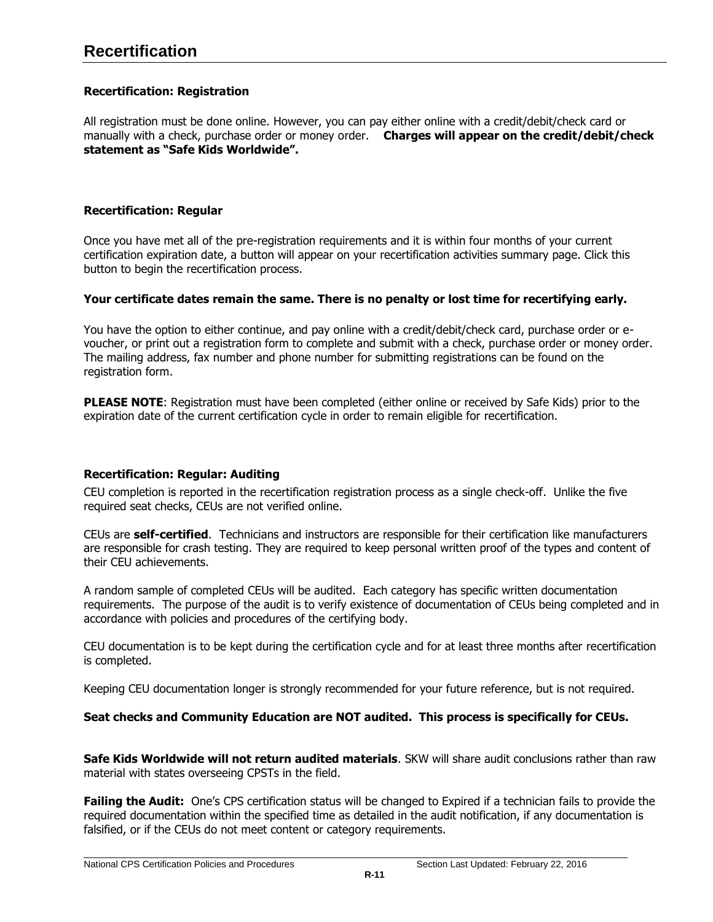# **Recertification**

# <span id="page-26-1"></span>**Recertification: Registration**

All registration must be done online. However, you can pay either online with a credit/debit/check card or manually with a check, purchase order or money order. **Charges will appear on the credit/debit/check statement as "Safe Kids Worldwide".**

## <span id="page-26-0"></span>**Recertification: Regular**

Once you have met all of the pre-registration requirements and it is within four months of your current certification expiration date, a button will appear on your recertification activities summary page. Click this button to begin the recertification process.

#### **Your certificate dates remain the same. There is no penalty or lost time for recertifying early.**

You have the option to either continue, and pay online with a credit/debit/check card, purchase order or evoucher, or print out a registration form to complete and submit with a check, purchase order or money order. The mailing address, fax number and phone number for submitting registrations can be found on the registration form.

**PLEASE NOTE:** Registration must have been completed (either online or received by Safe Kids) prior to the expiration date of the current certification cycle in order to remain eligible for recertification.

## <span id="page-26-2"></span>**Recertification: Regular: Auditing**

CEU completion is reported in the recertification registration process as a single check-off. Unlike the five required seat checks, CEUs are not verified online.

CEUs are **self-certified**. Technicians and instructors are responsible for their certification like manufacturers are responsible for crash testing. They are required to keep personal written proof of the types and content of their CEU achievements.

A random sample of completed CEUs will be audited. Each category has specific written documentation requirements. The purpose of the audit is to verify existence of documentation of CEUs being completed and in accordance with policies and procedures of the certifying body.

CEU documentation is to be kept during the certification cycle and for at least three months after recertification is completed.

Keeping CEU documentation longer is strongly recommended for your future reference, but is not required.

## **Seat checks and Community Education are NOT audited. This process is specifically for CEUs.**

**Safe Kids Worldwide will not return audited materials**. SKW will share audit conclusions rather than raw material with states overseeing CPSTs in the field.

**Failing the Audit:** One's CPS certification status will be changed to Expired if a technician fails to provide the required documentation within the specified time as detailed in the audit notification, if any documentation is falsified, or if the CEUs do not meet content or category requirements.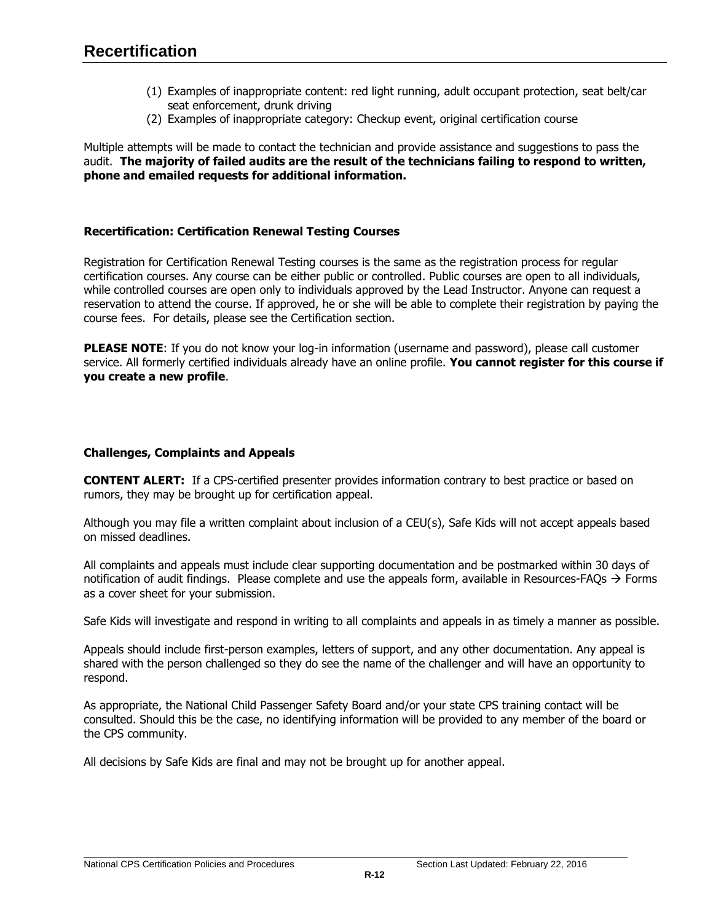- (1) Examples of inappropriate content: red light running, adult occupant protection, seat belt/car seat enforcement, drunk driving
- (2) Examples of inappropriate category: Checkup event, original certification course

Multiple attempts will be made to contact the technician and provide assistance and suggestions to pass the audit. **The majority of failed audits are the result of the technicians failing to respond to written, phone and emailed requests for additional information.**

# <span id="page-27-0"></span>**Recertification: Certification Renewal Testing Courses**

Registration for Certification Renewal Testing courses is the same as the registration process for regular certification courses. Any course can be either public or controlled. Public courses are open to all individuals, while controlled courses are open only to individuals approved by the Lead Instructor. Anyone can request a reservation to attend the course. If approved, he or she will be able to complete their registration by paying the course fees. For details, please see the Certification section.

**PLEASE NOTE:** If you do not know your log-in information (username and password), please call customer service. All formerly certified individuals already have an online profile. **You cannot register for this course if you create a new profile**.

# <span id="page-27-1"></span>**Challenges, Complaints and Appeals**

**CONTENT ALERT:** If a CPS-certified presenter provides information contrary to best practice or based on rumors, they may be brought up for certification appeal.

Although you may file a written complaint about inclusion of a CEU(s), Safe Kids will not accept appeals based on missed deadlines.

All complaints and appeals must include clear supporting documentation and be postmarked within 30 days of notification of audit findings. Please complete and use the appeals form, available in Resources-FAQs  $\rightarrow$  Forms as a cover sheet for your submission.

Safe Kids will investigate and respond in writing to all complaints and appeals in as timely a manner as possible.

Appeals should include first-person examples, letters of support, and any other documentation. Any appeal is shared with the person challenged so they do see the name of the challenger and will have an opportunity to respond.

As appropriate, the National Child Passenger Safety Board and/or your state CPS training contact will be consulted. Should this be the case, no identifying information will be provided to any member of the board or the CPS community.

All decisions by Safe Kids are final and may not be brought up for another appeal.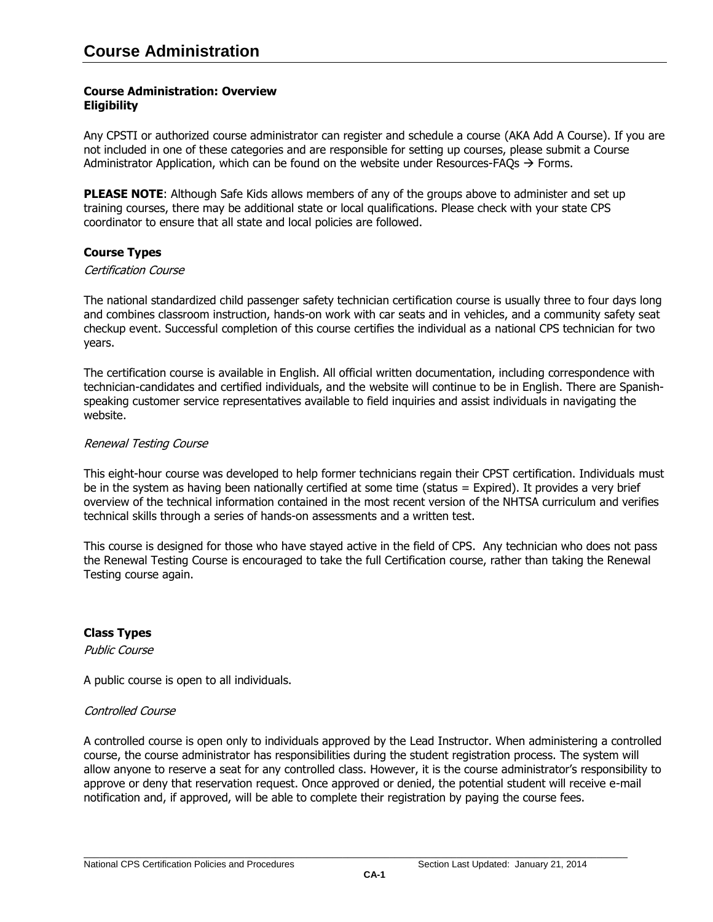## <span id="page-28-1"></span><span id="page-28-0"></span>**Course Administration: Overview Eligibility**

Any CPSTI or authorized course administrator can register and schedule a course (AKA Add A Course). If you are not included in one of these categories and are responsible for setting up courses, please submit a Course Administrator Application, which can be found on the website under [Resources-FAQs](http://www.safekids.org/certification/resources/forms.html)  $\rightarrow$  Forms.

**PLEASE NOTE:** Although Safe Kids allows members of any of the groups above to administer and set up training courses, there may be additional state or local qualifications. Please check with your state CPS coordinator to ensure that all state and local policies are followed.

# <span id="page-28-2"></span>**Course Types**

#### Certification Course

The national standardized child passenger safety technician certification course is usually three to four days long and combines classroom instruction, hands-on work with car seats and in vehicles, and a community safety seat checkup event. Successful completion of this course certifies the individual as a national CPS technician for two years.

The certification course is available in English. All official written documentation, including correspondence with technician-candidates and certified individuals, and the website will continue to be in English. There are Spanishspeaking customer service representatives available to field inquiries and assist individuals in navigating the website.

## Renewal Testing Course

This eight-hour course was developed to help former technicians regain their CPST certification. Individuals must be in the system as having been nationally certified at some time (status = Expired). It provides a very brief overview of the technical information contained in the most recent version of the NHTSA curriculum and verifies technical skills through a series of hands-on assessments and a written test.

This course is designed for those who have stayed active in the field of CPS. Any technician who does not pass the Renewal Testing Course is encouraged to take the full Certification course, rather than taking the Renewal Testing course again.

## <span id="page-28-3"></span>**Class Types**

Public Course

A public course is open to all individuals.

## Controlled Course

A controlled course is open only to individuals approved by the Lead Instructor. When administering a controlled course, the course administrator has responsibilities during the student registration process. The system will allow anyone to reserve a seat for any controlled class. However, it is the course administrator's responsibility to approve or deny that reservation request. Once approved or denied, the potential student will receive e-mail notification and, if approved, will be able to complete their registration by paying the course fees.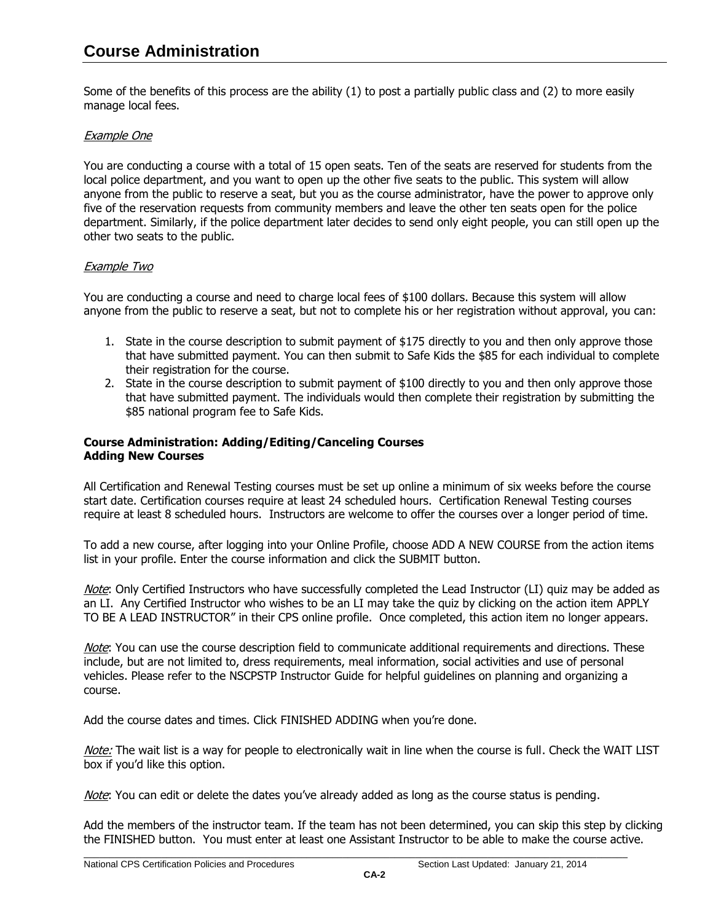Some of the benefits of this process are the ability (1) to post a partially public class and (2) to more easily manage local fees.

# Example One

You are conducting a course with a total of 15 open seats. Ten of the seats are reserved for students from the local police department, and you want to open up the other five seats to the public. This system will allow anyone from the public to reserve a seat, but you as the course administrator, have the power to approve only five of the reservation requests from community members and leave the other ten seats open for the police department. Similarly, if the police department later decides to send only eight people, you can still open up the other two seats to the public.

# Example Two

You are conducting a course and need to charge local fees of \$100 dollars. Because this system will allow anyone from the public to reserve a seat, but not to complete his or her registration without approval, you can:

- 1. State in the course description to submit payment of \$175 directly to you and then only approve those that have submitted payment. You can then submit to Safe Kids the \$85 for each individual to complete their registration for the course.
- 2. State in the course description to submit payment of \$100 directly to you and then only approve those that have submitted payment. The individuals would then complete their registration by submitting the \$85 national program fee to Safe Kids.

## <span id="page-29-0"></span>**Course Administration: Adding/Editing/Canceling Courses Adding New Courses**

All Certification and Renewal Testing courses must be set up online a minimum of six weeks before the course start date. Certification courses require at least 24 scheduled hours. Certification Renewal Testing courses require at least 8 scheduled hours. Instructors are welcome to offer the courses over a longer period of time.

To add a new course, after logging into your Online Profile, choose ADD A NEW COURSE from the action items list in your profile. Enter the course information and click the SUBMIT button.

Note: Only Certified Instructors who have successfully completed the Lead Instructor (LI) quiz may be added as an LI. Any Certified Instructor who wishes to be an LI may take the quiz by clicking on the action item APPLY TO BE A LEAD INSTRUCTOR" in their CPS online profile. Once completed, this action item no longer appears.

Note: You can use the course description field to communicate additional requirements and directions. These include, but are not limited to, dress requirements, meal information, social activities and use of personal vehicles. Please refer to the NSCPSTP Instructor Guide for helpful guidelines on planning and organizing a course.

Add the course dates and times. Click FINISHED ADDING when you're done.

Note: The wait list is a way for people to electronically wait in line when the course is full. Check the WAIT LIST box if you'd like this option.

Note: You can edit or delete the dates you've already added as long as the course status is pending.

Add the members of the instructor team. If the team has not been determined, you can skip this step by clicking the FINISHED button. You must enter at least one Assistant Instructor to be able to make the course active.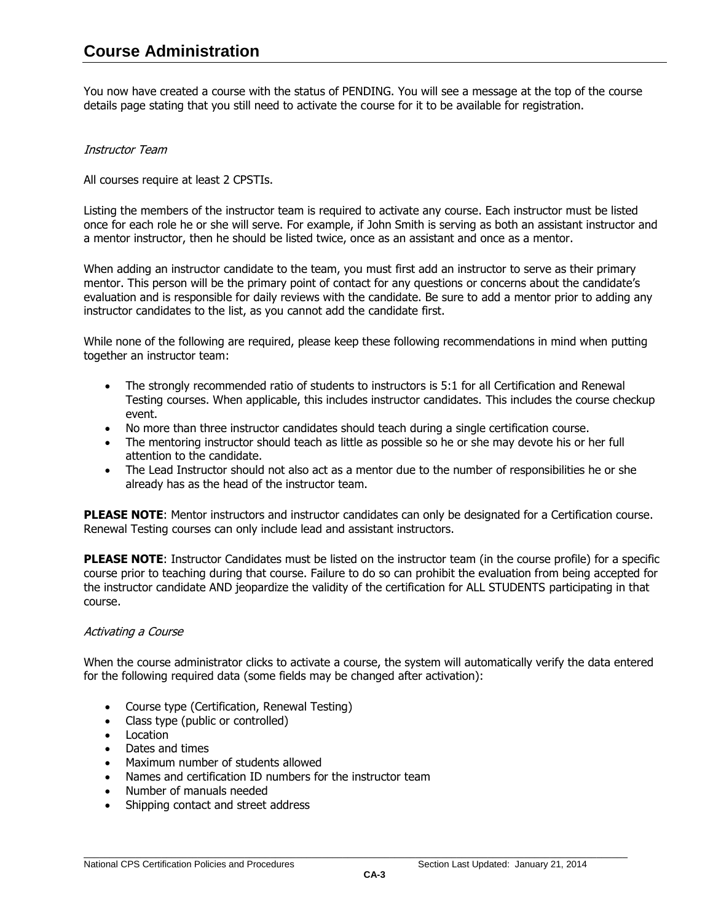You now have created a course with the status of PENDING. You will see a message at the top of the course details page stating that you still need to activate the course for it to be available for registration.

## Instructor Team

All courses require at least 2 CPSTIs.

Listing the members of the instructor team is required to activate any course. Each instructor must be listed once for each role he or she will serve. For example, if John Smith is serving as both an assistant instructor and a mentor instructor, then he should be listed twice, once as an assistant and once as a mentor.

When adding an instructor candidate to the team, you must first add an instructor to serve as their primary mentor. This person will be the primary point of contact for any questions or concerns about the candidate's evaluation and is responsible for daily reviews with the candidate. Be sure to add a mentor prior to adding any instructor candidates to the list, as you cannot add the candidate first.

While none of the following are required, please keep these following recommendations in mind when putting together an instructor team:

- The strongly recommended ratio of students to instructors is 5:1 for all Certification and Renewal Testing courses. When applicable, this includes instructor candidates. This includes the course checkup event.
- No more than three instructor candidates should teach during a single certification course.
- The mentoring instructor should teach as little as possible so he or she may devote his or her full attention to the candidate.
- The Lead Instructor should not also act as a mentor due to the number of responsibilities he or she already has as the head of the instructor team.

**PLEASE NOTE**: Mentor instructors and instructor candidates can only be designated for a Certification course. Renewal Testing courses can only include lead and assistant instructors.

**PLEASE NOTE**: Instructor Candidates must be listed on the instructor team (in the course profile) for a specific course prior to teaching during that course. Failure to do so can prohibit the evaluation from being accepted for the instructor candidate AND jeopardize the validity of the certification for ALL STUDENTS participating in that course.

## Activating a Course

When the course administrator clicks to activate a course, the system will automatically verify the data entered for the following required data (some fields may be changed after activation):

- Course type (Certification, Renewal Testing)
- Class type (public or controlled)
- Location
- Dates and times
- Maximum number of students allowed
- Names and certification ID numbers for the instructor team
- Number of manuals needed
- Shipping contact and street address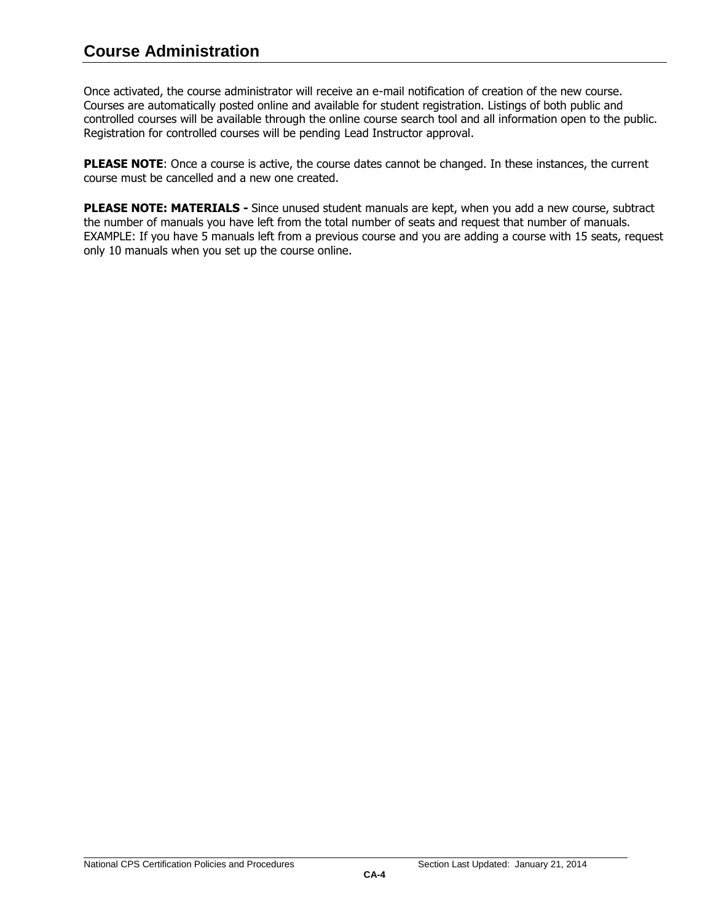# **Course Administration**

Once activated, the course administrator will receive an e-mail notification of creation of the new course. Courses are automatically posted online and available for student registration. Listings of both public and controlled courses will be available through the online course search tool and all information open to the public. Registration for controlled courses will be pending Lead Instructor approval.

**PLEASE NOTE:** Once a course is active, the course dates cannot be changed. In these instances, the current course must be cancelled and a new one created.

**PLEASE NOTE: MATERIALS -** Since unused student manuals are kept, when you add a new course, subtract the number of manuals you have left from the total number of seats and request that number of manuals. EXAMPLE: If you have 5 manuals left from a previous course and you are adding a course with 15 seats, request only 10 manuals when you set up the course online.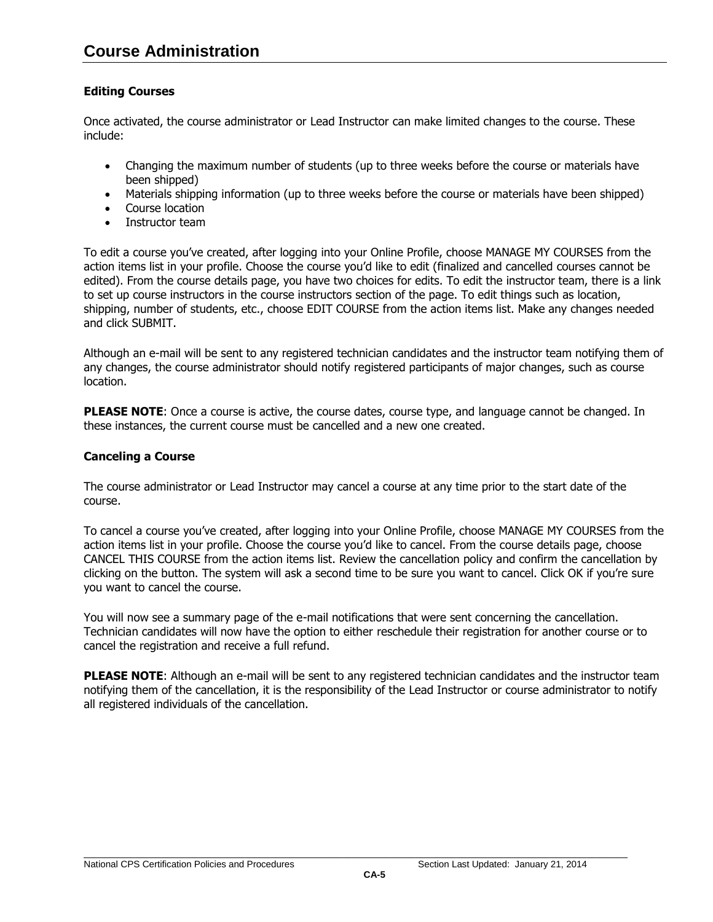# <span id="page-32-0"></span>**Editing Courses**

Once activated, the course administrator or Lead Instructor can make limited changes to the course. These include:

- Changing the maximum number of students (up to three weeks before the course or materials have been shipped)
- Materials shipping information (up to three weeks before the course or materials have been shipped)
- Course location
- Instructor team

To edit a course you've created, after logging into your Online Profile, choose MANAGE MY COURSES from the action items list in your profile. Choose the course you'd like to edit (finalized and cancelled courses cannot be edited). From the course details page, you have two choices for edits. To edit the instructor team, there is a link to set up course instructors in the course instructors section of the page. To edit things such as location, shipping, number of students, etc., choose EDIT COURSE from the action items list. Make any changes needed and click SUBMIT.

Although an e-mail will be sent to any registered technician candidates and the instructor team notifying them of any changes, the course administrator should notify registered participants of major changes, such as course location.

**PLEASE NOTE:** Once a course is active, the course dates, course type, and language cannot be changed. In these instances, the current course must be cancelled and a new one created.

## <span id="page-32-1"></span>**Canceling a Course**

The course administrator or Lead Instructor may cancel a course at any time prior to the start date of the course.

To cancel a course you've created, after logging into your Online Profile, choose MANAGE MY COURSES from the action items list in your profile. Choose the course you'd like to cancel. From the course details page, choose CANCEL THIS COURSE from the action items list. Review the cancellation policy and confirm the cancellation by clicking on the button. The system will ask a second time to be sure you want to cancel. Click OK if you're sure you want to cancel the course.

You will now see a summary page of the e-mail notifications that were sent concerning the cancellation. Technician candidates will now have the option to either reschedule their registration for another course or to cancel the registration and receive a full refund.

**PLEASE NOTE:** Although an e-mail will be sent to any registered technician candidates and the instructor team notifying them of the cancellation, it is the responsibility of the Lead Instructor or course administrator to notify all registered individuals of the cancellation.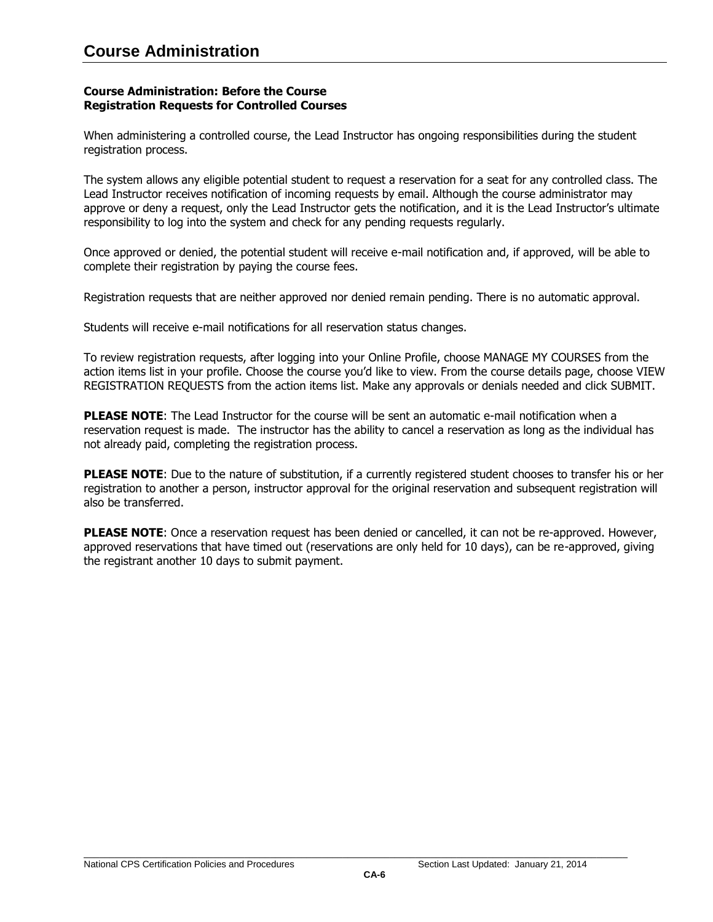#### <span id="page-33-0"></span>**Course Administration: Before the Course Registration Requests for Controlled Courses**

When administering a controlled course, the Lead Instructor has ongoing responsibilities during the student registration process.

The system allows any eligible potential student to request a reservation for a seat for any controlled class. The Lead Instructor receives notification of incoming requests by email. Although the course administrator may approve or deny a request, only the Lead Instructor gets the notification, and it is the Lead Instructor's ultimate responsibility to log into the system and check for any pending requests regularly.

Once approved or denied, the potential student will receive e-mail notification and, if approved, will be able to complete their registration by paying the course fees.

Registration requests that are neither approved nor denied remain pending. There is no automatic approval.

Students will receive e-mail notifications for all reservation status changes.

To review registration requests, after logging into your Online Profile, choose MANAGE MY COURSES from the action items list in your profile. Choose the course you'd like to view. From the course details page, choose VIEW REGISTRATION REQUESTS from the action items list. Make any approvals or denials needed and click SUBMIT.

**PLEASE NOTE**: The Lead Instructor for the course will be sent an automatic e-mail notification when a reservation request is made. The instructor has the ability to cancel a reservation as long as the individual has not already paid, completing the registration process.

**PLEASE NOTE**: Due to the nature of substitution, if a currently registered student chooses to transfer his or her registration to another a person, instructor approval for the original reservation and subsequent registration will also be transferred.

**PLEASE NOTE:** Once a reservation request has been denied or cancelled, it can not be re-approved. However, approved reservations that have timed out (reservations are only held for 10 days), can be re-approved, giving the registrant another 10 days to submit payment.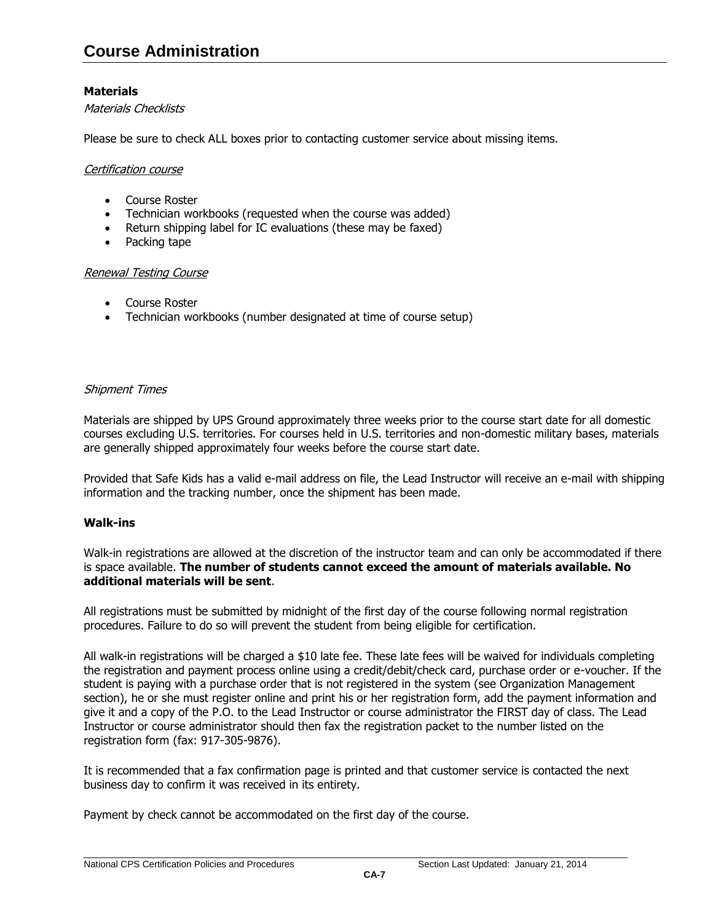# <span id="page-34-0"></span>**Materials**

## Materials Checklists

Please be sure to check ALL boxes prior to contacting customer service about missing items.

#### Certification course

- Course Roster
- Technician workbooks (requested when the course was added)
- Return shipping label for IC evaluations (these may be faxed)
- Packing tape

#### Renewal Testing Course

- Course Roster
- Technician workbooks (number designated at time of course setup)

## Shipment Times

Materials are shipped by UPS Ground approximately three weeks prior to the course start date for all domestic courses excluding U.S. territories. For courses held in U.S. territories and non-domestic military bases, materials are generally shipped approximately four weeks before the course start date.

Provided that Safe Kids has a valid e-mail address on file, the Lead Instructor will receive an e-mail with shipping information and the tracking number, once the shipment has been made.

## <span id="page-34-1"></span>**Walk-ins**

Walk-in registrations are allowed at the discretion of the instructor team and can only be accommodated if there is space available. **The number of students cannot exceed the amount of materials available. No additional materials will be sent**.

All registrations must be submitted by midnight of the first day of the course following normal registration procedures. Failure to do so will prevent the student from being eligible for certification.

All walk-in registrations will be charged a \$10 late fee. These late fees will be waived for individuals completing the registration and payment process online using a credit/debit/check card, purchase order or e-voucher. If the student is paying with a purchase order that is not registered in the system (see Organization Management section), he or she must register online and print his or her registration form, add the payment information and give it and a copy of the P.O. to the Lead Instructor or course administrator the FIRST day of class. The Lead Instructor or course administrator should then fax the registration packet to the number listed on the registration form (fax: 917-305-9876).

It is recommended that a fax confirmation page is printed and that customer service is contacted the next business day to confirm it was received in its entirety.

Payment by check cannot be accommodated on the first day of the course.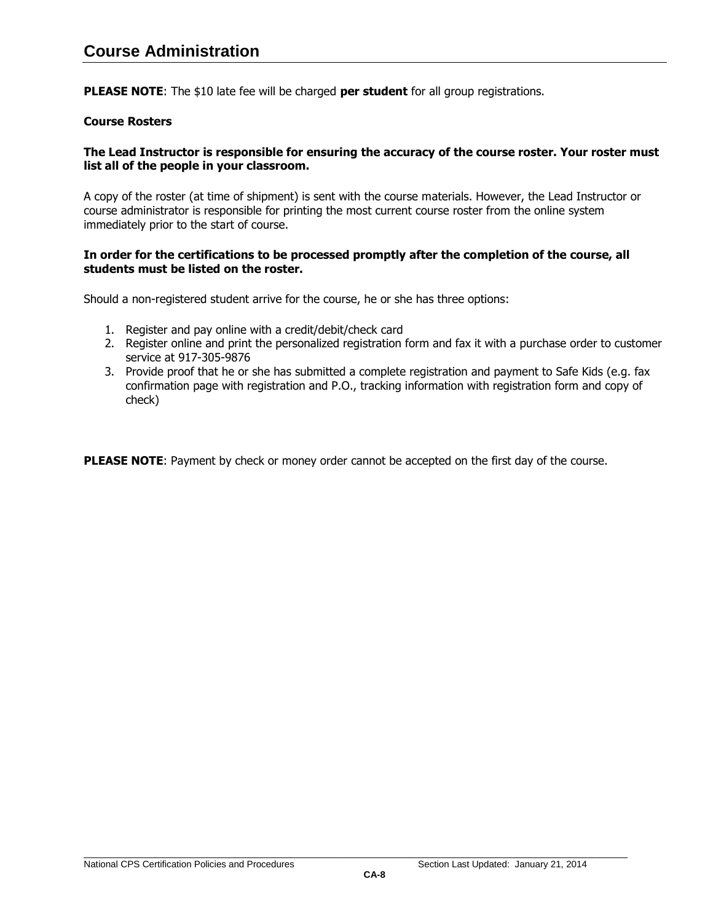**PLEASE NOTE**: The \$10 late fee will be charged **per student** for all group registrations.

## <span id="page-35-0"></span>**Course Rosters**

## **The Lead Instructor is responsible for ensuring the accuracy of the course roster. Your roster must list all of the people in your classroom.**

A copy of the roster (at time of shipment) is sent with the course materials. However, the Lead Instructor or course administrator is responsible for printing the most current course roster from the online system immediately prior to the start of course.

## **In order for the certifications to be processed promptly after the completion of the course, all students must be listed on the roster.**

Should a non-registered student arrive for the course, he or she has three options:

- 1. Register and pay online with a credit/debit/check card
- 2. Register online and print the personalized registration form and fax it with a purchase order to customer service at 917-305-9876
- 3. Provide proof that he or she has submitted a complete registration and payment to Safe Kids (e.g. fax confirmation page with registration and P.O., tracking information with registration form and copy of check)

**PLEASE NOTE:** Payment by check or money order cannot be accepted on the first day of the course.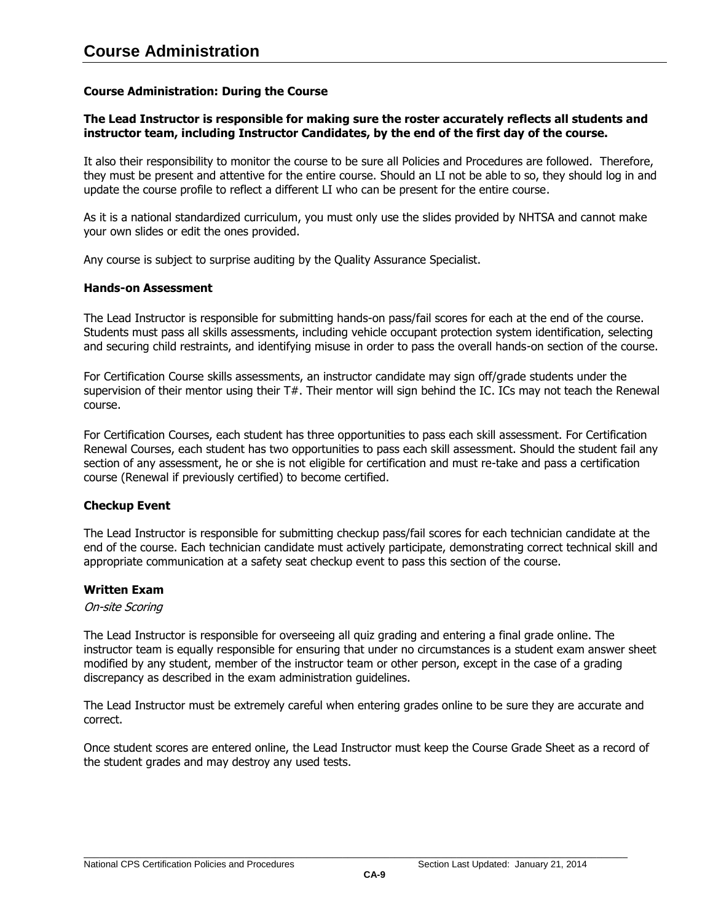## **Course Administration: During the Course**

# **The Lead Instructor is responsible for making sure the roster accurately reflects all students and instructor team, including Instructor Candidates, by the end of the first day of the course.**

It also their responsibility to monitor the course to be sure all Policies and Procedures are followed. Therefore, they must be present and attentive for the entire course. Should an LI not be able to so, they should log in and update the course profile to reflect a different LI who can be present for the entire course.

As it is a national standardized curriculum, you must only use the slides provided by NHTSA and cannot make your own slides or edit the ones provided.

Any course is subject to surprise auditing by the Quality Assurance Specialist.

#### <span id="page-36-0"></span>**Hands-on Assessment**

The Lead Instructor is responsible for submitting hands-on pass/fail scores for each at the end of the course. Students must pass all skills assessments, including vehicle occupant protection system identification, selecting and securing child restraints, and identifying misuse in order to pass the overall hands-on section of the course.

For Certification Course skills assessments, an instructor candidate may sign off/grade students under the supervision of their mentor using their T#. Their mentor will sign behind the IC. ICs may not teach the Renewal course.

For Certification Courses, each student has three opportunities to pass each skill assessment. For Certification Renewal Courses, each student has two opportunities to pass each skill assessment. Should the student fail any section of any assessment, he or she is not eligible for certification and must re-take and pass a certification course (Renewal if previously certified) to become certified.

## <span id="page-36-1"></span>**Checkup Event**

The Lead Instructor is responsible for submitting checkup pass/fail scores for each technician candidate at the end of the course. Each technician candidate must actively participate, demonstrating correct technical skill and appropriate communication at a safety seat checkup event to pass this section of the course.

## <span id="page-36-2"></span>**Written Exam**

#### On-site Scoring

The Lead Instructor is responsible for overseeing all quiz grading and entering a final grade online. The instructor team is equally responsible for ensuring that under no circumstances is a student exam answer sheet modified by any student, member of the instructor team or other person, except in the case of a grading discrepancy as described in the exam administration guidelines.

The Lead Instructor must be extremely careful when entering grades online to be sure they are accurate and correct.

Once student scores are entered online, the Lead Instructor must keep the Course Grade Sheet as a record of the student grades and may destroy any used tests.

\_\_\_\_\_\_\_\_\_\_\_\_\_\_\_\_\_\_\_\_\_\_\_\_\_\_\_\_\_\_\_\_\_\_\_\_\_\_\_\_\_\_\_\_\_\_\_\_\_\_\_\_\_\_\_\_\_\_\_\_\_\_\_\_\_\_\_\_\_\_\_\_\_\_\_\_\_\_\_\_\_\_\_\_\_\_\_\_\_\_\_\_\_\_\_\_\_\_\_\_\_\_\_\_\_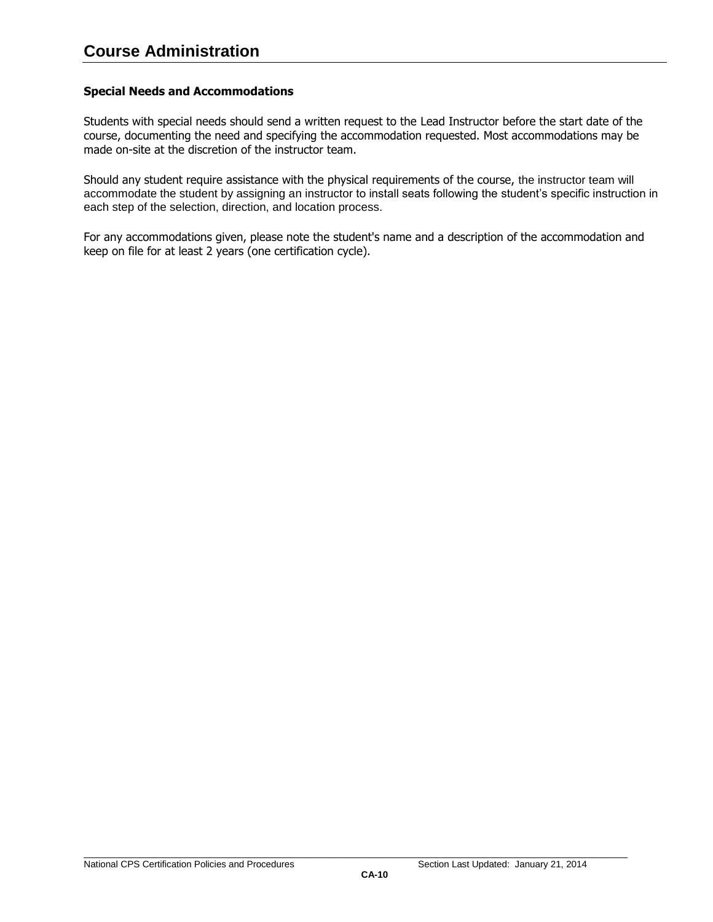## <span id="page-37-0"></span>**Special Needs and Accommodations**

Students with special needs should send a written request to the Lead Instructor before the start date of the course, documenting the need and specifying the accommodation requested. Most accommodations may be made on-site at the discretion of the instructor team.

Should any student require assistance with the physical requirements of the course, the instructor team will accommodate the student by assigning an instructor to install seats following the student's specific instruction in each step of the selection, direction, and location process.

For any accommodations given, please note the student's name and a description of the accommodation and keep on file for at least 2 years (one certification cycle).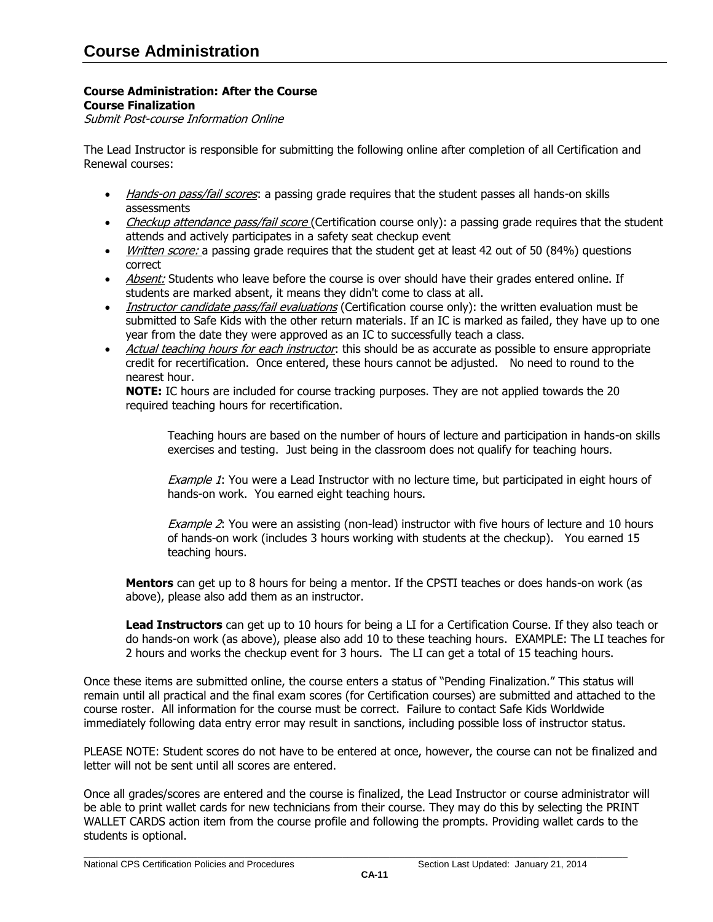#### **Course Administration: After the Course Course Finalization**

<span id="page-38-0"></span>Submit Post-course Information Online

The Lead Instructor is responsible for submitting the following online after completion of all Certification and Renewal courses:

- Hands-on pass/fail scores: a passing grade requires that the student passes all hands-on skills assessments
- Checkup attendance pass/fail score (Certification course only): a passing grade requires that the student attends and actively participates in a safety seat checkup event
- *Written score:* a passing grade requires that the student get at least 42 out of 50 (84%) questions correct
- Absent: Students who leave before the course is over should have their grades entered online. If students are marked absent, it means they didn't come to class at all.
- Instructor candidate pass/fail evaluations (Certification course only): the written evaluation must be submitted to Safe Kids with the other return materials. If an IC is marked as failed, they have up to one year from the date they were approved as an IC to successfully teach a class.
- Actual teaching hours for each instructor: this should be as accurate as possible to ensure appropriate credit for recertification. Once entered, these hours cannot be adjusted. No need to round to the nearest hour.

**NOTE:** IC hours are included for course tracking purposes. They are not applied towards the 20 required teaching hours for recertification.

Teaching hours are based on the number of hours of lecture and participation in hands-on skills exercises and testing. Just being in the classroom does not qualify for teaching hours.

Example 1: You were a Lead Instructor with no lecture time, but participated in eight hours of hands-on work. You earned eight teaching hours.

Example 2: You were an assisting (non-lead) instructor with five hours of lecture and 10 hours of hands-on work (includes 3 hours working with students at the checkup). You earned 15 teaching hours.

**Mentors** can get up to 8 hours for being a mentor. If the CPSTI teaches or does hands-on work (as above), please also add them as an instructor.

**Lead Instructors** can get up to 10 hours for being a LI for a Certification Course. If they also teach or do hands-on work (as above), please also add 10 to these teaching hours. EXAMPLE: The LI teaches for 2 hours and works the checkup event for 3 hours. The LI can get a total of 15 teaching hours.

Once these items are submitted online, the course enters a status of "Pending Finalization." This status will remain until all practical and the final exam scores (for Certification courses) are submitted and attached to the course roster. All information for the course must be correct. Failure to contact Safe Kids Worldwide immediately following data entry error may result in sanctions, including possible loss of instructor status.

PLEASE NOTE: Student scores do not have to be entered at once, however, the course can not be finalized and letter will not be sent until all scores are entered.

Once all grades/scores are entered and the course is finalized, the Lead Instructor or course administrator will be able to print wallet cards for new technicians from their course. They may do this by selecting the PRINT WALLET CARDS action item from the course profile and following the prompts. Providing wallet cards to the students is optional.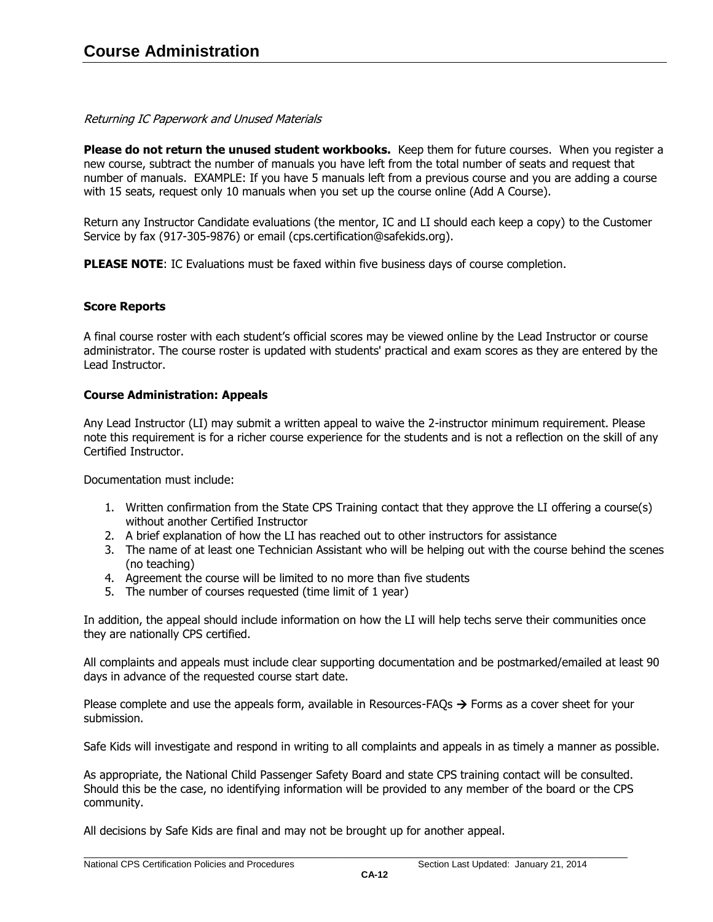# Returning IC Paperwork and Unused Materials

**Please do not return the unused student workbooks.** Keep them for future courses. When you register a new course, subtract the number of manuals you have left from the total number of seats and request that number of manuals. EXAMPLE: If you have 5 manuals left from a previous course and you are adding a course with 15 seats, request only 10 manuals when you set up the course online (Add A Course).

Return any Instructor Candidate evaluations (the mentor, IC and LI should each keep a copy) to the Customer Service by fax (917-305-9876) or email (cps.certification@safekids.org).

**PLEASE NOTE:** IC Evaluations must be faxed within five business days of course completion.

# <span id="page-39-0"></span>**Score Reports**

A final course roster with each student's official scores may be viewed online by the Lead Instructor or course administrator. The course roster is updated with students' practical and exam scores as they are entered by the Lead Instructor.

## <span id="page-39-1"></span>**Course Administration: Appeals**

Any Lead Instructor (LI) may submit a written appeal to waive the 2-instructor minimum requirement. Please note this requirement is for a richer course experience for the students and is not a reflection on the skill of any Certified Instructor.

Documentation must include:

- 1. Written confirmation from the State CPS Training contact that they approve the LI offering a course(s) without another Certified Instructor
- 2. A brief explanation of how the LI has reached out to other instructors for assistance
- 3. The name of at least one Technician Assistant who will be helping out with the course behind the scenes (no teaching)
- 4. Agreement the course will be limited to no more than five students
- 5. The number of courses requested (time limit of 1 year)

In addition, the appeal should include information on how the LI will help techs serve their communities once they are nationally CPS certified.

All complaints and appeals must include clear supporting documentation and be postmarked/emailed at least 90 days in advance of the requested course start date.

Please complete and use the appeals form, available in Resources-FAQs  $\rightarrow$  Forms as a cover sheet for your submission.

Safe Kids will investigate and respond in writing to all complaints and appeals in as timely a manner as possible.

As appropriate, the National Child Passenger Safety Board and state CPS training contact will be consulted. Should this be the case, no identifying information will be provided to any member of the board or the CPS community.

All decisions by Safe Kids are final and may not be brought up for another appeal.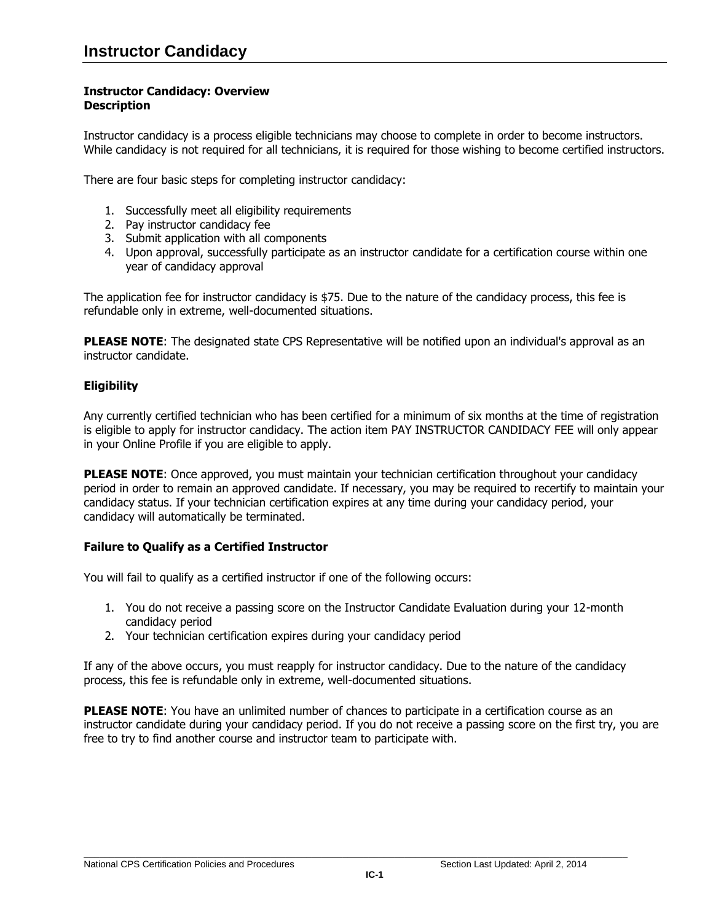# <span id="page-40-0"></span>**Instructor Candidacy: Overview Description**

Instructor candidacy is a process eligible technicians may choose to complete in order to become instructors. While candidacy is not required for all technicians, it is required for those wishing to become certified instructors.

There are four basic steps for completing instructor candidacy:

- 1. Successfully meet all eligibility requirements
- 2. Pay instructor candidacy fee
- 3. Submit application with all components
- 4. Upon approval, successfully participate as an instructor candidate for a certification course within one year of candidacy approval

The application fee for instructor candidacy is \$75. Due to the nature of the candidacy process, this fee is refundable only in extreme, well-documented situations.

**PLEASE NOTE:** The designated state CPS Representative will be notified upon an individual's approval as an instructor candidate.

# <span id="page-40-1"></span>**Eligibility**

Any currently certified technician who has been certified for a minimum of six months at the time of registration is eligible to apply for instructor candidacy. The action item PAY INSTRUCTOR CANDIDACY FEE will only appear in your Online Profile if you are eligible to apply.

**PLEASE NOTE:** Once approved, you must maintain your technician certification throughout your candidacy period in order to remain an approved candidate. If necessary, you may be required to recertify to maintain your candidacy status. If your technician certification expires at any time during your candidacy period, your candidacy will automatically be terminated.

# <span id="page-40-2"></span>**Failure to Qualify as a Certified Instructor**

You will fail to qualify as a certified instructor if one of the following occurs:

- 1. You do not receive a passing score on the Instructor Candidate Evaluation during your 12-month candidacy period
- 2. Your technician certification expires during your candidacy period

If any of the above occurs, you must reapply for instructor candidacy. Due to the nature of the candidacy process, this fee is refundable only in extreme, well-documented situations.

**PLEASE NOTE:** You have an unlimited number of chances to participate in a certification course as an instructor candidate during your candidacy period. If you do not receive a passing score on the first try, you are free to try to find another course and instructor team to participate with.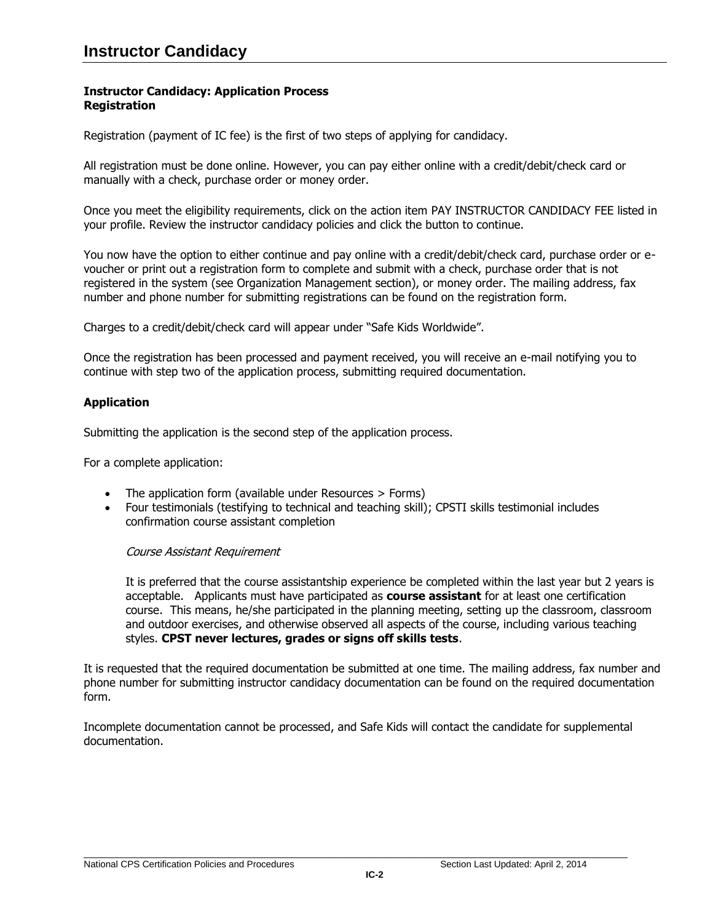## <span id="page-41-0"></span>**Instructor Candidacy: Application Process Registration**

Registration (payment of IC fee) is the first of two steps of applying for candidacy.

All registration must be done online. However, you can pay either online with a credit/debit/check card or manually with a check, purchase order or money order.

Once you meet the eligibility requirements, click on the action item PAY INSTRUCTOR CANDIDACY FEE listed in your profile. Review the instructor candidacy policies and click the button to continue.

You now have the option to either continue and pay online with a credit/debit/check card, purchase order or evoucher or print out a registration form to complete and submit with a check, purchase order that is not registered in the system (see Organization Management section), or money order. The mailing address, fax number and phone number for submitting registrations can be found on the registration form.

Charges to a credit/debit/check card will appear under "Safe Kids Worldwide".

Once the registration has been processed and payment received, you will receive an e-mail notifying you to continue with step two of the application process, submitting required documentation.

# <span id="page-41-1"></span>**Application**

Submitting the application is the second step of the application process.

For a complete application:

- The application form (available under Resources > Forms)
- Four testimonials (testifying to technical and teaching skill); CPSTI skills testimonial includes confirmation course assistant completion

## Course Assistant Requirement

It is preferred that the course assistantship experience be completed within the last year but 2 years is acceptable. Applicants must have participated as **course assistant** for at least one certification course. This means, he/she participated in the planning meeting, setting up the classroom, classroom and outdoor exercises, and otherwise observed all aspects of the course, including various teaching styles. **CPST never lectures, grades or signs off skills tests**.

It is requested that the required documentation be submitted at one time. The mailing address, fax number and phone number for submitting instructor candidacy documentation can be found on the required documentation form.

Incomplete documentation cannot be processed, and Safe Kids will contact the candidate for supplemental documentation.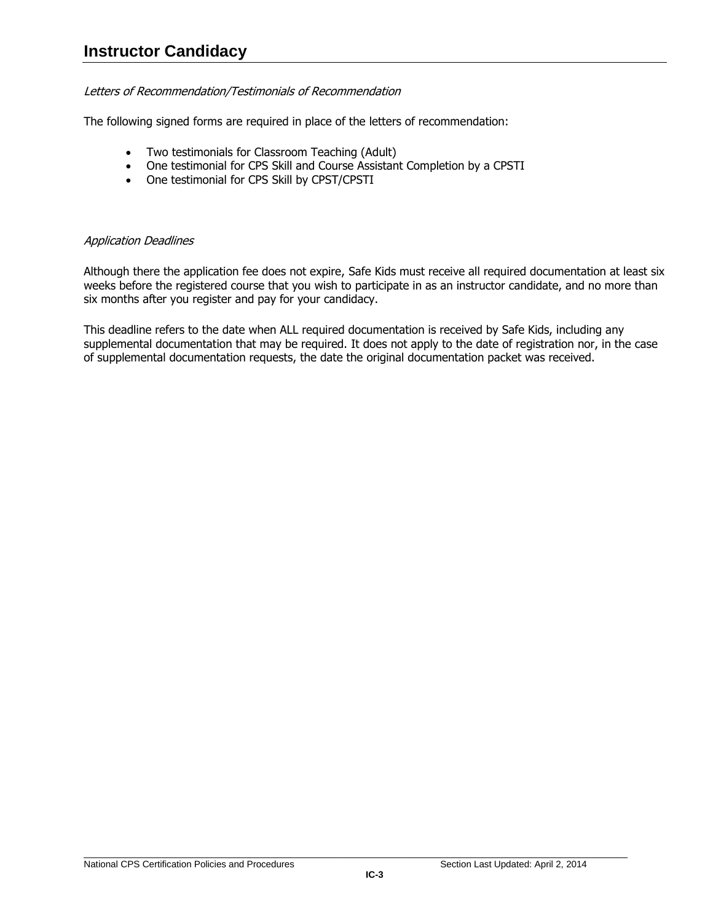# Letters of Recommendation/Testimonials of Recommendation

The following signed forms are required in place of the letters of recommendation:

- Two testimonials for Classroom Teaching (Adult)
- One testimonial for CPS Skill and Course Assistant Completion by a CPSTI
- One testimonial for CPS Skill by CPST/CPSTI

# Application Deadlines

Although there the application fee does not expire, Safe Kids must receive all required documentation at least six weeks before the registered course that you wish to participate in as an instructor candidate, and no more than six months after you register and pay for your candidacy.

This deadline refers to the date when ALL required documentation is received by Safe Kids, including any supplemental documentation that may be required. It does not apply to the date of registration nor, in the case of supplemental documentation requests, the date the original documentation packet was received.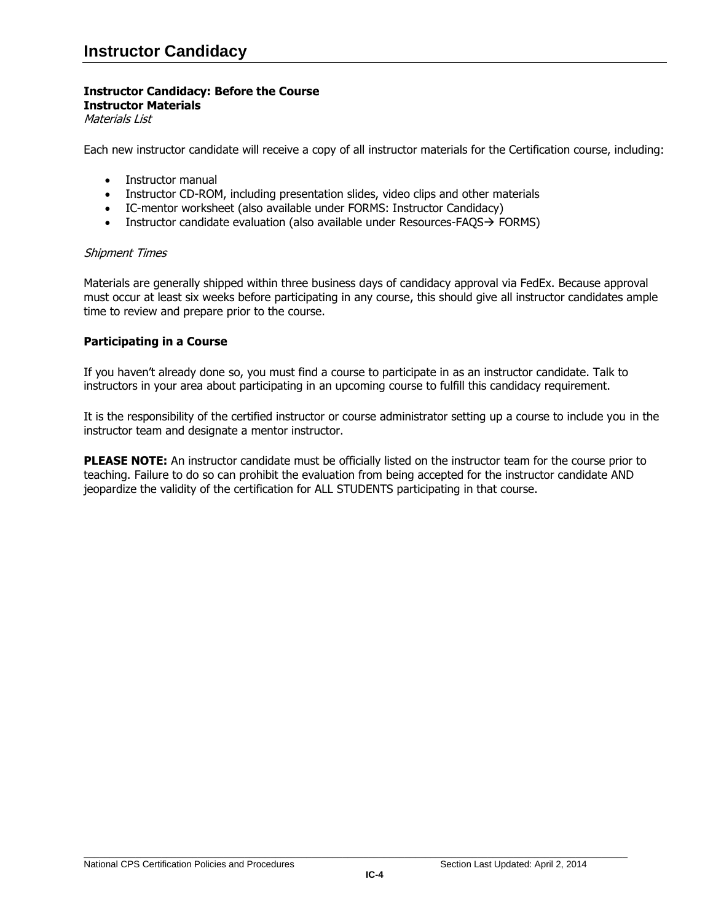#### **Instructor Candidacy: Before the Course Instructor Materials**

<span id="page-43-0"></span>Materials List

Each new instructor candidate will receive a copy of all instructor materials for the Certification course, including:

- Instructor manual
- Instructor CD-ROM, including presentation slides, video clips and other materials
- IC-mentor worksheet (also available under FORMS: Instructor Candidacy)
- **Instructor candidate evaluation (also available under Resources-FAQS** $\rightarrow$  **FORMS)**

#### Shipment Times

Materials are generally shipped within three business days of candidacy approval via FedEx. Because approval must occur at least six weeks before participating in any course, this should give all instructor candidates ample time to review and prepare prior to the course.

## <span id="page-43-1"></span>**Participating in a Course**

If you haven't already done so, you must find a course to participate in as an instructor candidate. Talk to instructors in your area about participating in an upcoming course to fulfill this candidacy requirement.

It is the responsibility of the certified instructor or course administrator setting up a course to include you in the instructor team and designate a mentor instructor.

**PLEASE NOTE:** An instructor candidate must be officially listed on the instructor team for the course prior to teaching. Failure to do so can prohibit the evaluation from being accepted for the instructor candidate AND jeopardize the validity of the certification for ALL STUDENTS participating in that course.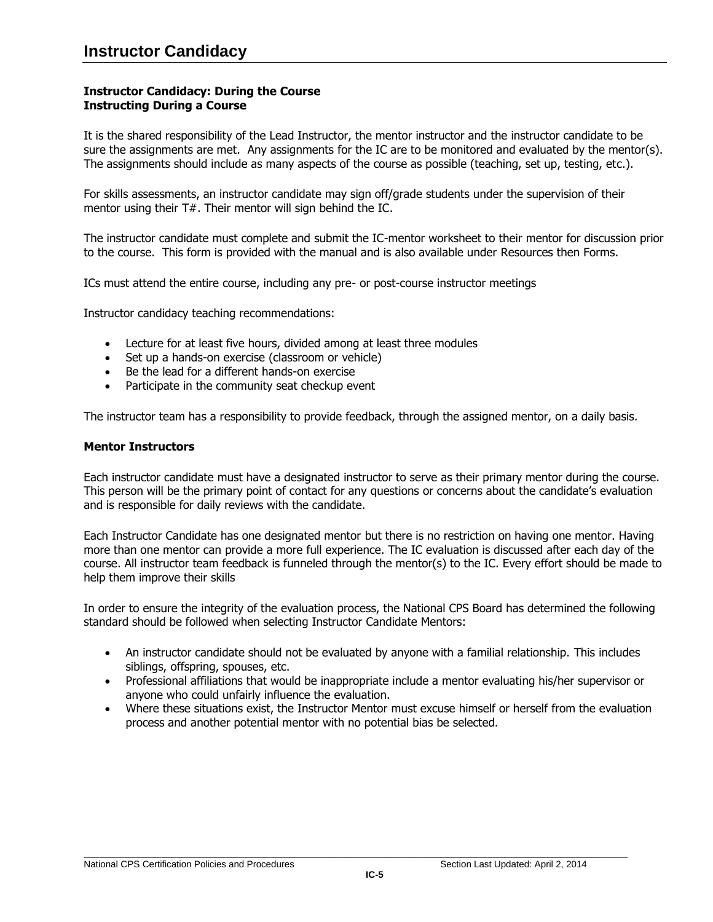## <span id="page-44-0"></span>**Instructor Candidacy: During the Course Instructing During a Course**

It is the shared responsibility of the Lead Instructor, the mentor instructor and the instructor candidate to be sure the assignments are met. Any assignments for the IC are to be monitored and evaluated by the mentor(s). The assignments should include as many aspects of the course as possible (teaching, set up, testing, etc.).

For skills assessments, an instructor candidate may sign off/grade students under the supervision of their mentor using their T#. Their mentor will sign behind the IC.

The instructor candidate must complete and submit the IC-mentor worksheet to their mentor for discussion prior to the course. This form is provided with the manual and is also available under Resources then Forms.

ICs must attend the entire course, including any pre- or post-course instructor meetings

Instructor candidacy teaching recommendations:

- Lecture for at least five hours, divided among at least three modules
- Set up a hands-on exercise (classroom or vehicle)
- Be the lead for a different hands-on exercise
- Participate in the community seat checkup event

The instructor team has a responsibility to provide feedback, through the assigned mentor, on a daily basis.

#### <span id="page-44-1"></span>**Mentor Instructors**

Each instructor candidate must have a designated instructor to serve as their primary mentor during the course. This person will be the primary point of contact for any questions or concerns about the candidate's evaluation and is responsible for daily reviews with the candidate.

Each Instructor Candidate has one designated mentor but there is no restriction on having one mentor. Having more than one mentor can provide a more full experience. The IC evaluation is discussed after each day of the course. All instructor team feedback is funneled through the mentor(s) to the IC. Every effort should be made to help them improve their skills

In order to ensure the integrity of the evaluation process, the National CPS Board has determined the following standard should be followed when selecting Instructor Candidate Mentors:

- An instructor candidate should not be evaluated by anyone with a familial relationship. This includes siblings, offspring, spouses, etc.
- Professional affiliations that would be inappropriate include a mentor evaluating his/her supervisor or anyone who could unfairly influence the evaluation.
- Where these situations exist, the Instructor Mentor must excuse himself or herself from the evaluation process and another potential mentor with no potential bias be selected.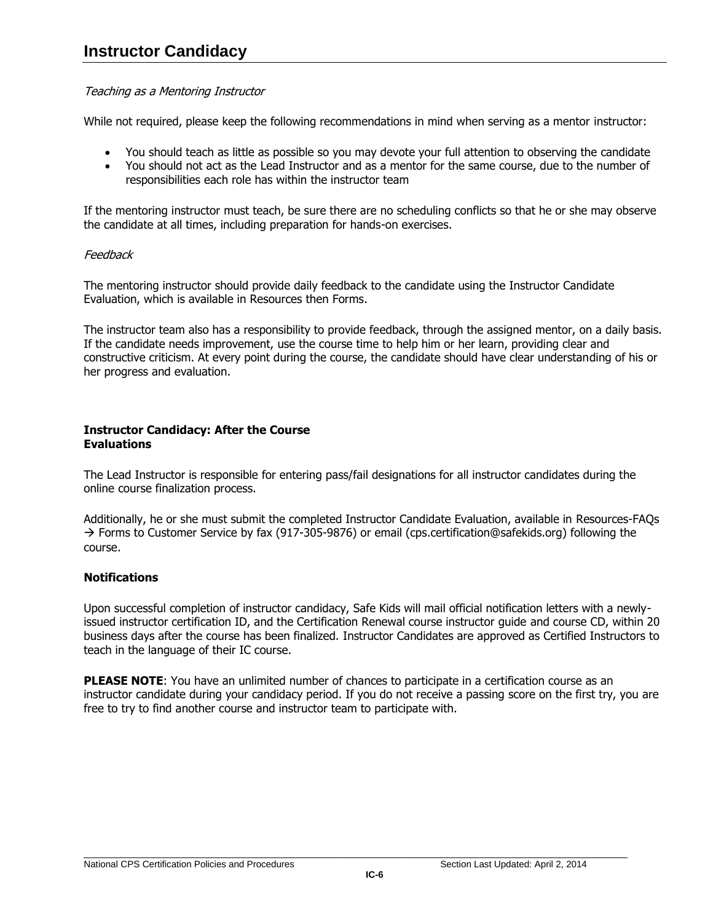# Teaching as a Mentoring Instructor

While not required, please keep the following recommendations in mind when serving as a mentor instructor:

- You should teach as little as possible so you may devote your full attention to observing the candidate
- You should not act as the Lead Instructor and as a mentor for the same course, due to the number of responsibilities each role has within the instructor team

If the mentoring instructor must teach, be sure there are no scheduling conflicts so that he or she may observe the candidate at all times, including preparation for hands-on exercises.

# **Feedback**

The mentoring instructor should provide daily feedback to the candidate using the Instructor Candidate Evaluation, which is available in [Resources then Forms.](http://www.safekids.org/certification/resources/forms.html)

The instructor team also has a responsibility to provide feedback, through the assigned mentor, on a daily basis. If the candidate needs improvement, use the course time to help him or her learn, providing clear and constructive criticism. At every point during the course, the candidate should have clear understanding of his or her progress and evaluation.

## <span id="page-45-0"></span>**Instructor Candidacy: After the Course Evaluations**

The Lead Instructor is responsible for entering pass/fail designations for all instructor candidates during the online course finalization process.

Additionally, he or she must submit the completed Instructor Candidate Evaluation, available in [Resources-FAQs](http://www.safekids.org/certification/resources/forms.html)   $\rightarrow$  [Forms](http://www.safekids.org/certification/resources/forms.html) to Customer Service by fax (917-305-9876) or email (cps.certification@safekids.org) following the course.

# <span id="page-45-1"></span>**Notifications**

Upon successful completion of instructor candidacy, Safe Kids will mail official notification letters with a newlyissued instructor certification ID, and the Certification Renewal course instructor guide and course CD, within 20 business days after the course has been finalized. Instructor Candidates are approved as Certified Instructors to teach in the language of their IC course.

**PLEASE NOTE**: You have an unlimited number of chances to participate in a certification course as an instructor candidate during your candidacy period. If you do not receive a passing score on the first try, you are free to try to find another course and instructor team to participate with.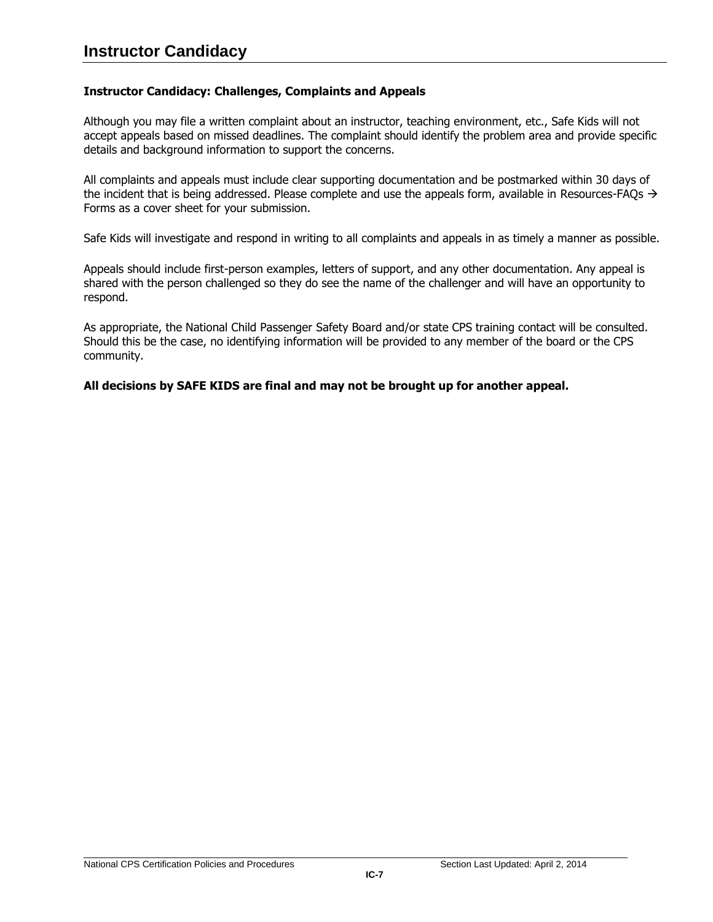# <span id="page-46-0"></span>**Instructor Candidacy: Challenges, Complaints and Appeals**

Although you may file a written complaint about an instructor, teaching environment, etc., Safe Kids will not accept appeals based on missed deadlines. The complaint should identify the problem area and provide specific details and background information to support the concerns.

All complaints and appeals must include clear supporting documentation and be postmarked within 30 days of the incident that is being addressed. Please complete and use the appeals form, available in [Resources-FAQs](http://www.safekids.org/certification/resources/forms.html)  $\rightarrow$ [Forms](http://www.safekids.org/certification/resources/forms.html) as a cover sheet for your submission.

Safe Kids will investigate and respond in writing to all complaints and appeals in as timely a manner as possible.

Appeals should include first-person examples, letters of support, and any other documentation. Any appeal is shared with the person challenged so they do see the name of the challenger and will have an opportunity to respond.

As appropriate, the National Child Passenger Safety Board and/or state CPS training contact will be consulted. Should this be the case, no identifying information will be provided to any member of the board or the CPS community.

## **All decisions by SAFE KIDS are final and may not be brought up for another appeal.**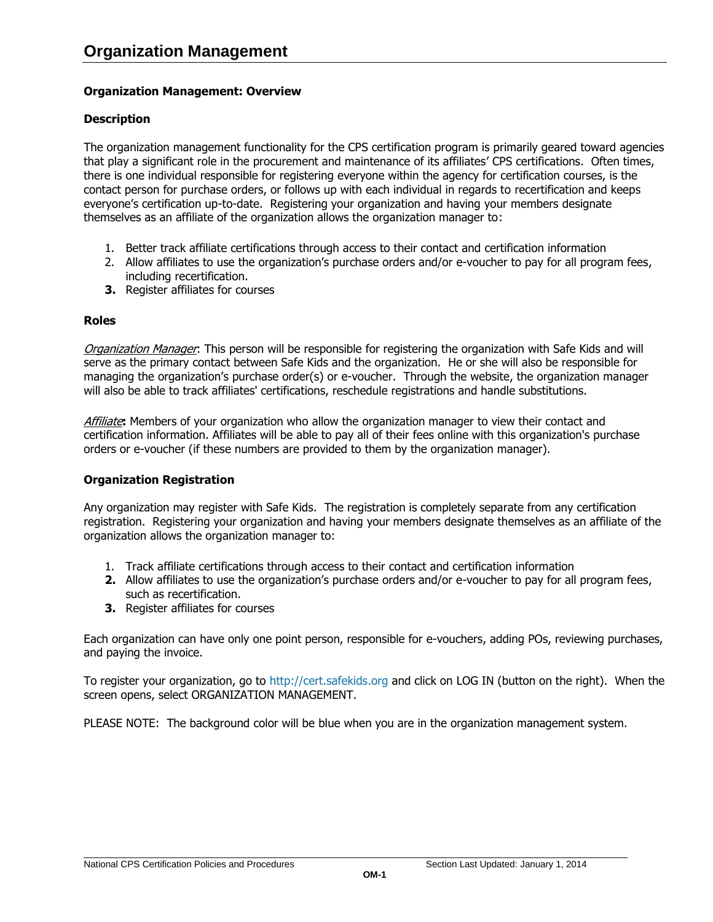# <span id="page-47-0"></span>**Organization Management: Overview**

# **Description**

The organization management functionality for the CPS certification program is primarily geared toward agencies that play a significant role in the procurement and maintenance of its affiliates' CPS certifications. Often times, there is one individual responsible for registering everyone within the agency for certification courses, is the contact person for purchase orders, or follows up with each individual in regards to recertification and keeps everyone's certification up-to-date. Registering your organization and having your members designate themselves as an affiliate of the organization allows the organization manager to:

- 1. Better track affiliate certifications through access to their contact and certification information
- 2. Allow affiliates to use the organization's purchase orders and/or e-voucher to pay for all program fees, including recertification.
- **3.** Register affiliates for courses

# <span id="page-47-1"></span>**Roles**

Organization Manager: This person will be responsible for registering the organization with Safe Kids and will serve as the primary contact between Safe Kids and the organization. He or she will also be responsible for managing the organization's purchase order(s) or e-voucher. Through the website, the organization manager will also be able to track affiliates' certifications, reschedule registrations and handle substitutions.

Affiliate**:** Members of your organization who allow the organization manager to view their contact and certification information. Affiliates will be able to pay all of their fees online with this organization's purchase orders or e-voucher (if these numbers are provided to them by the organization manager).

## <span id="page-47-2"></span>**Organization Registration**

Any organization may register with Safe Kids. The registration is completely separate from any certification registration. Registering your organization and having your members designate themselves as an affiliate of the organization allows the organization manager to:

- 1. Track affiliate certifications through access to their contact and certification information
- **2.** Allow affiliates to use the organization's purchase orders and/or e-voucher to pay for all program fees, such as recertification.
- **3.** Register affiliates for courses

Each organization can have only one point person, responsible for e-vouchers, adding POs, reviewing purchases, and paying the invoice.

To register your organization, go to [http://cert.safekids.org](http://cert.safekids.org/) and click on LOG IN (button on the right). When the screen opens, select ORGANIZATION MANAGEMENT.

PLEASE NOTE: The background color will be blue when you are in the organization management system.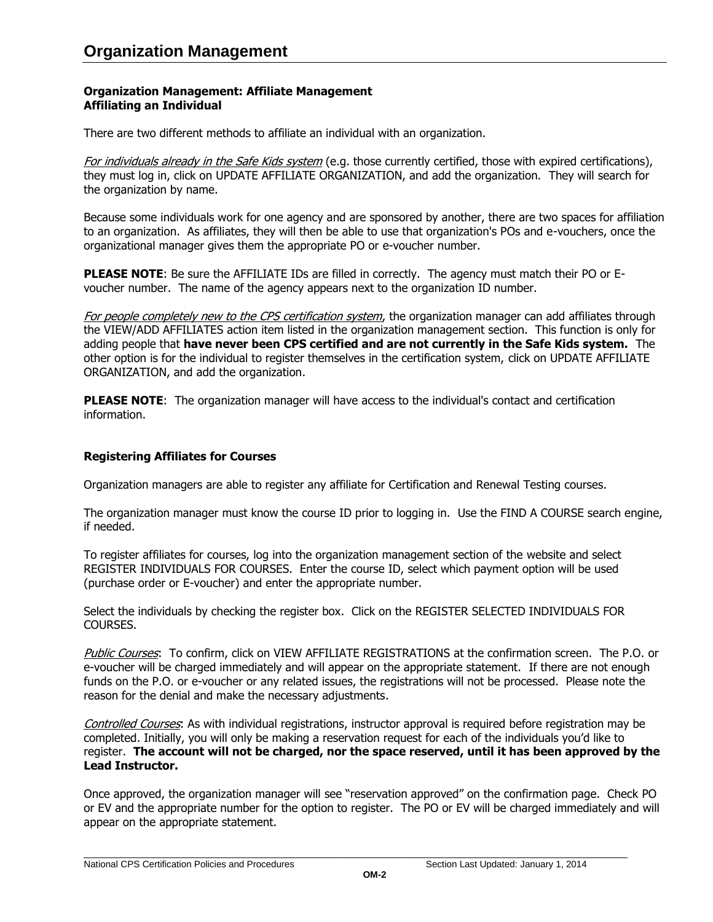# <span id="page-48-0"></span>**Organization Management: Affiliate Management Affiliating an Individual**

There are two different methods to affiliate an individual with an organization.

For individuals already in the Safe Kids system (e.g. those currently certified, those with expired certifications), they must log in, click on UPDATE AFFILIATE ORGANIZATION, and add the organization. They will search for the organization by name.

Because some individuals work for one agency and are sponsored by another, there are two spaces for affiliation to an organization. As affiliates, they will then be able to use that organization's POs and e-vouchers, once the organizational manager gives them the appropriate PO or e-voucher number.

**PLEASE NOTE**: Be sure the AFFILIATE IDs are filled in correctly. The agency must match their PO or Evoucher number. The name of the agency appears next to the organization ID number.

For people completely new to the CPS certification system, the organization manager can add affiliates through the VIEW/ADD AFFILIATES action item listed in the organization management section. This function is only for adding people that **have never been CPS certified and are not currently in the Safe Kids system.** The other option is for the individual to register themselves in the certification system, click on UPDATE AFFILIATE ORGANIZATION, and add the organization.

**PLEASE NOTE:** The organization manager will have access to the individual's contact and certification information.

# <span id="page-48-1"></span>**Registering Affiliates for Courses**

Organization managers are able to register any affiliate for Certification and Renewal Testing courses.

The organization manager must know the course ID prior to logging in. Use the FIND A COURSE search engine, if needed.

To register affiliates for courses, log into the organization management section of the website and select REGISTER INDIVIDUALS FOR COURSES. Enter the course ID, select which payment option will be used (purchase order or E-voucher) and enter the appropriate number.

Select the individuals by checking the register box. Click on the REGISTER SELECTED INDIVIDUALS FOR COURSES.

Public Courses: To confirm, click on VIEW AFFILIATE REGISTRATIONS at the confirmation screen. The P.O. or e-voucher will be charged immediately and will appear on the appropriate statement. If there are not enough funds on the P.O. or e-voucher or any related issues, the registrations will not be processed. Please note the reason for the denial and make the necessary adjustments.

Controlled Courses: As with individual registrations, instructor approval is required before registration may be completed. Initially, you will only be making a reservation request for each of the individuals you'd like to register. **The account will not be charged, nor the space reserved, until it has been approved by the Lead Instructor.**

Once approved, the organization manager will see "reservation approved" on the confirmation page. Check PO or EV and the appropriate number for the option to register. The PO or EV will be charged immediately and will appear on the appropriate statement.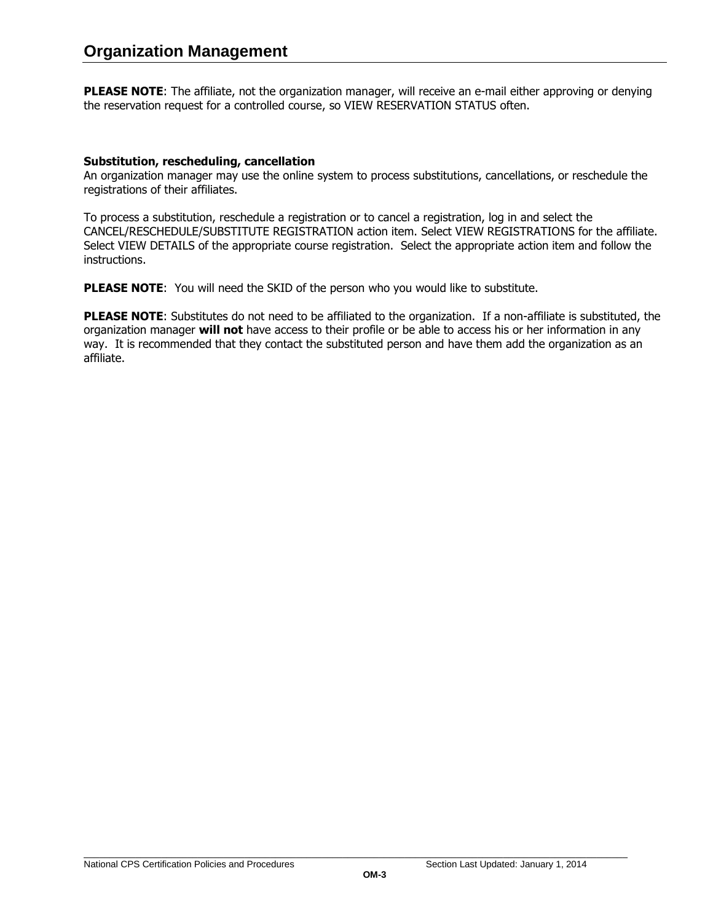**PLEASE NOTE:** The affiliate, not the organization manager, will receive an e-mail either approving or denying the reservation request for a controlled course, so VIEW RESERVATION STATUS often.

## <span id="page-49-0"></span>**Substitution, rescheduling, cancellation**

An organization manager may use the online system to process substitutions, cancellations, or reschedule the registrations of their affiliates.

To process a substitution, reschedule a registration or to cancel a registration, log in and select the CANCEL/RESCHEDULE/SUBSTITUTE REGISTRATION action item. Select VIEW REGISTRATIONS for the affiliate. Select VIEW DETAILS of the appropriate course registration. Select the appropriate action item and follow the instructions.

**PLEASE NOTE:** You will need the SKID of the person who you would like to substitute.

**PLEASE NOTE**: Substitutes do not need to be affiliated to the organization. If a non-affiliate is substituted, the organization manager **will not** have access to their profile or be able to access his or her information in any way. It is recommended that they contact the substituted person and have them add the organization as an affiliate.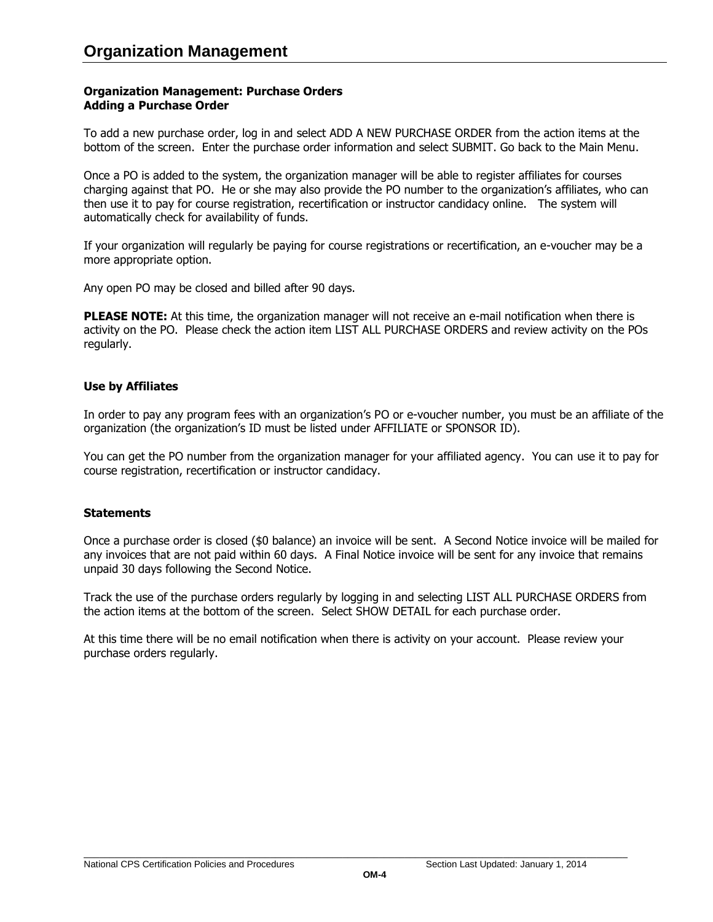## <span id="page-50-0"></span>**Organization Management: Purchase Orders Adding a Purchase Order**

To add a new purchase order, log in and select ADD A NEW PURCHASE ORDER from the action items at the bottom of the screen. Enter the purchase order information and select SUBMIT. Go back to the Main Menu.

Once a PO is added to the system, the organization manager will be able to register affiliates for courses charging against that PO. He or she may also provide the PO number to the organization's affiliates, who can then use it to pay for course registration, recertification or instructor candidacy online. The system will automatically check for availability of funds.

If your organization will regularly be paying for course registrations or recertification, an e-voucher may be a more appropriate option.

Any open PO may be closed and billed after 90 days.

**PLEASE NOTE:** At this time, the organization manager will not receive an e-mail notification when there is activity on the PO. Please check the action item LIST ALL PURCHASE ORDERS and review activity on the POs regularly.

## <span id="page-50-1"></span>**Use by Affiliates**

In order to pay any program fees with an organization's PO or e-voucher number, you must be an affiliate of the organization (the organization's ID must be listed under AFFILIATE or SPONSOR ID).

You can get the PO number from the organization manager for your affiliated agency. You can use it to pay for course registration, recertification or instructor candidacy.

# <span id="page-50-2"></span>**Statements**

Once a purchase order is closed (\$0 balance) an invoice will be sent. A Second Notice invoice will be mailed for any invoices that are not paid within 60 days. A Final Notice invoice will be sent for any invoice that remains unpaid 30 days following the Second Notice.

Track the use of the purchase orders regularly by logging in and selecting LIST ALL PURCHASE ORDERS from the action items at the bottom of the screen. Select SHOW DETAIL for each purchase order.

At this time there will be no email notification when there is activity on your account. Please review your purchase orders regularly.